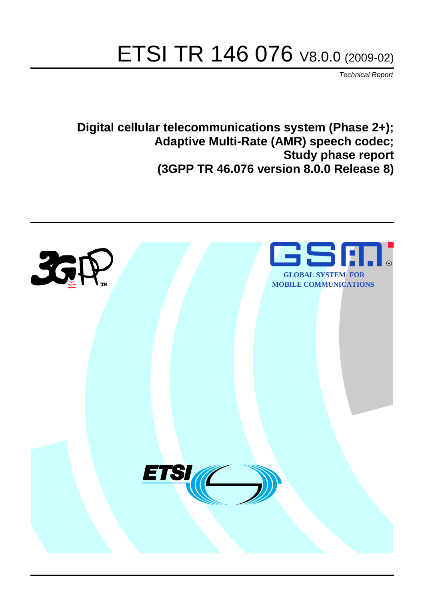# ETSI TR 146 076 V8.0.0 (2009-02)

*Technical Report*

**Digital cellular telecommunications system (Phase 2+); Adaptive Multi-Rate (AMR) speech codec; Study phase report (3GPP TR 46.076 version 8.0.0 Release 8)**

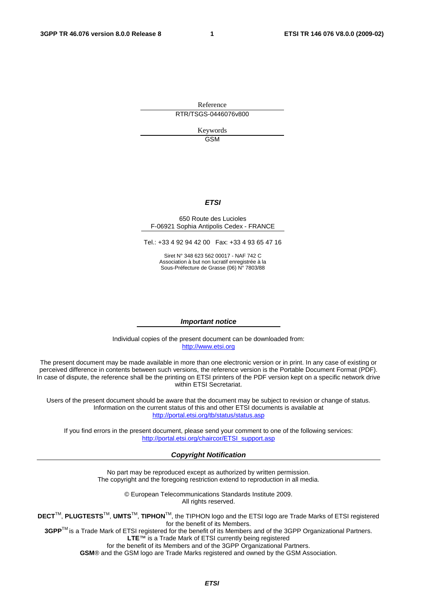Reference RTR/TSGS-0446076v800

> Keywords GSM

### *ETSI*

#### 650 Route des Lucioles F-06921 Sophia Antipolis Cedex - FRANCE

Tel.: +33 4 92 94 42 00 Fax: +33 4 93 65 47 16

Siret N° 348 623 562 00017 - NAF 742 C Association à but non lucratif enregistrée à la Sous-Préfecture de Grasse (06) N° 7803/88

#### *Important notice*

Individual copies of the present document can be downloaded from: [http://www.etsi.org](http://www.etsi.org/)

The present document may be made available in more than one electronic version or in print. In any case of existing or perceived difference in contents between such versions, the reference version is the Portable Document Format (PDF). In case of dispute, the reference shall be the printing on ETSI printers of the PDF version kept on a specific network drive within ETSI Secretariat.

Users of the present document should be aware that the document may be subject to revision or change of status. Information on the current status of this and other ETSI documents is available at <http://portal.etsi.org/tb/status/status.asp>

If you find errors in the present document, please send your comment to one of the following services: [http://portal.etsi.org/chaircor/ETSI\\_support.asp](http://portal.etsi.org/chaircor/ETSI_support.asp)

#### *Copyright Notification*

No part may be reproduced except as authorized by written permission. The copyright and the foregoing restriction extend to reproduction in all media.

> © European Telecommunications Standards Institute 2009. All rights reserved.

**DECT**TM, **PLUGTESTS**TM, **UMTS**TM, **TIPHON**TM, the TIPHON logo and the ETSI logo are Trade Marks of ETSI registered for the benefit of its Members.

**3GPP**TM is a Trade Mark of ETSI registered for the benefit of its Members and of the 3GPP Organizational Partners. **LTE**™ is a Trade Mark of ETSI currently being registered

for the benefit of its Members and of the 3GPP Organizational Partners.

**GSM**® and the GSM logo are Trade Marks registered and owned by the GSM Association.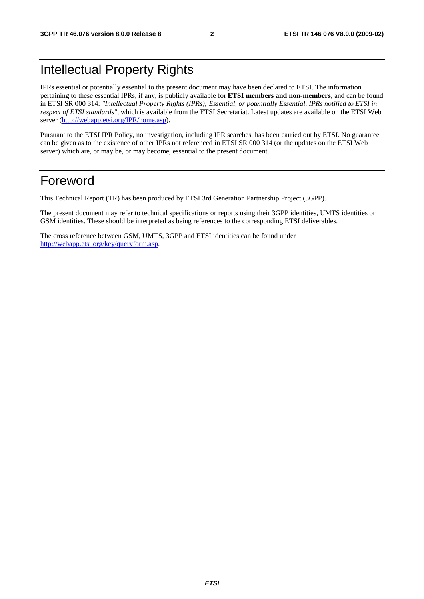## Intellectual Property Rights

IPRs essential or potentially essential to the present document may have been declared to ETSI. The information pertaining to these essential IPRs, if any, is publicly available for **ETSI members and non-members**, and can be found in ETSI SR 000 314: *"Intellectual Property Rights (IPRs); Essential, or potentially Essential, IPRs notified to ETSI in respect of ETSI standards"*, which is available from the ETSI Secretariat. Latest updates are available on the ETSI Web server ([http://webapp.etsi.org/IPR/home.asp\)](http://webapp.etsi.org/IPR/home.asp).

Pursuant to the ETSI IPR Policy, no investigation, including IPR searches, has been carried out by ETSI. No guarantee can be given as to the existence of other IPRs not referenced in ETSI SR 000 314 (or the updates on the ETSI Web server) which are, or may be, or may become, essential to the present document.

## Foreword

This Technical Report (TR) has been produced by ETSI 3rd Generation Partnership Project (3GPP).

The present document may refer to technical specifications or reports using their 3GPP identities, UMTS identities or GSM identities. These should be interpreted as being references to the corresponding ETSI deliverables.

The cross reference between GSM, UMTS, 3GPP and ETSI identities can be found under [http://webapp.etsi.org/key/queryform.asp.](http://webapp.etsi.org/key/queryform.asp)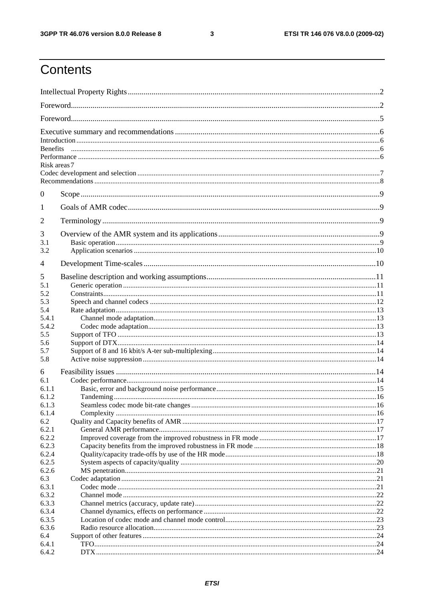#### $\mathbf{3}$

## Contents

|                                  | Risk areas 7 |  |
|----------------------------------|--------------|--|
| $\theta$                         |              |  |
| 1                                |              |  |
| $\overline{2}$                   |              |  |
| 3<br>3.1<br>3.2                  |              |  |
| $\overline{4}$                   |              |  |
| 5<br>5.1<br>5.2<br>5.3<br>5.4    |              |  |
| 5.4.1<br>5.4.2                   |              |  |
| 5.5<br>5.6<br>5.7<br>5.8         |              |  |
| 6                                |              |  |
| 6.1<br>6.1.1<br>6.1.2<br>6.1.3   |              |  |
| 6.1.4<br>6.2                     |              |  |
| 6.2.1<br>6.2.2<br>6.2.3<br>6.2.4 |              |  |
| 6.2.5<br>6.2.6<br>6.3<br>6.3.1   |              |  |
| 6.3.2<br>6.3.3<br>6.3.4          |              |  |
| 6.3.5<br>6.3.6<br>6.4<br>6.4.1   |              |  |
| 6.4.2                            |              |  |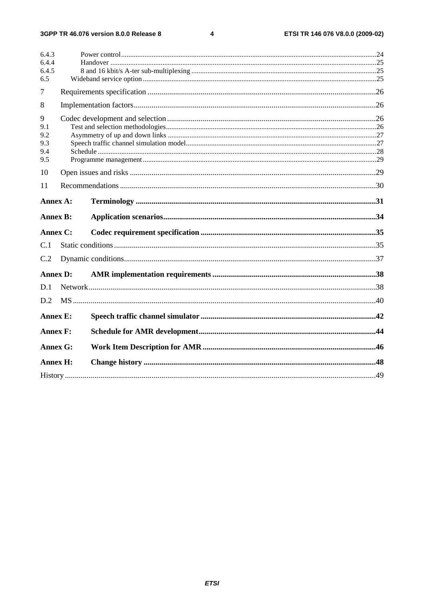$\overline{\mathbf{4}}$ 

| 6.4.3           |  |  |
|-----------------|--|--|
| 6.4.4<br>6.4.5  |  |  |
| 6.5             |  |  |
| $\tau$          |  |  |
|                 |  |  |
| 8               |  |  |
| 9               |  |  |
| 9.1             |  |  |
| 9.2             |  |  |
| 9.3             |  |  |
| 9.4<br>9.5      |  |  |
|                 |  |  |
| 10              |  |  |
| 11              |  |  |
| Annex A:        |  |  |
| <b>Annex B:</b> |  |  |
| Annex C:        |  |  |
| C.1             |  |  |
| C.2             |  |  |
| <b>Annex D:</b> |  |  |
|                 |  |  |
| D.1             |  |  |
| D.2             |  |  |
| <b>Annex E:</b> |  |  |
| <b>Annex F:</b> |  |  |
| <b>Annex G:</b> |  |  |
| Annex H:        |  |  |
|                 |  |  |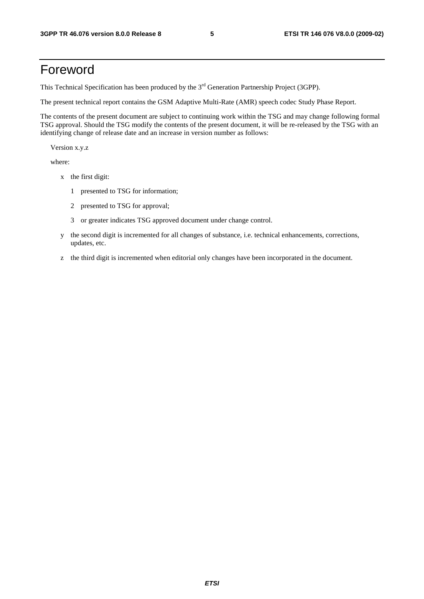## Foreword

This Technical Specification has been produced by the 3<sup>rd</sup> Generation Partnership Project (3GPP).

The present technical report contains the GSM Adaptive Multi-Rate (AMR) speech codec Study Phase Report.

The contents of the present document are subject to continuing work within the TSG and may change following formal TSG approval. Should the TSG modify the contents of the present document, it will be re-released by the TSG with an identifying change of release date and an increase in version number as follows:

Version x.y.z

where:

- x the first digit:
	- 1 presented to TSG for information;
	- 2 presented to TSG for approval;
	- 3 or greater indicates TSG approved document under change control.
- y the second digit is incremented for all changes of substance, i.e. technical enhancements, corrections, updates, etc.
- z the third digit is incremented when editorial only changes have been incorporated in the document.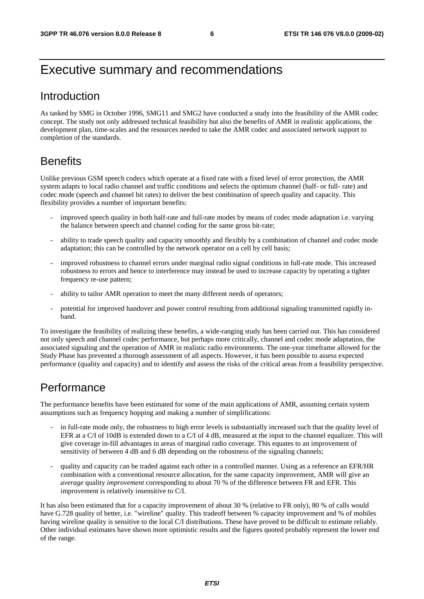## Executive summary and recommendations

## Introduction

As tasked by SMG in October 1996, SMG11 and SMG2 have conducted a study into the feasibility of the AMR codec concept. The study not only addressed technical feasibility but also the benefits of AMR in realistic applications, the development plan, time-scales and the resources needed to take the AMR codec and associated network support to completion of the standards.

## **Benefits**

Unlike previous GSM speech codecs which operate at a fixed rate with a fixed level of error protection, the AMR system adapts to local radio channel and traffic conditions and selects the optimum channel (half- or full- rate) and codec mode (speech and channel bit rates) to deliver the best combination of speech quality and capacity. This flexibility provides a number of important benefits:

- improved speech quality in both half-rate and full-rate modes by means of codec mode adaptation i.e. varying the balance between speech and channel coding for the same gross bit-rate;
- ability to trade speech quality and capacity smoothly and flexibly by a combination of channel and codec mode adaptation; this can be controlled by the network operator on a cell by cell basis;
- improved robustness to channel errors under marginal radio signal conditions in full-rate mode. This increased robustness to errors and hence to interference may instead be used to increase capacity by operating a tighter frequency re-use pattern;
- ability to tailor AMR operation to meet the many different needs of operators;
- potential for improved handover and power control resulting from additional signaling transmitted rapidly inband.

To investigate the feasibility of realizing these benefits, a wide-ranging study has been carried out. This has considered not only speech and channel codec performance, but perhaps more critically, channel and codec mode adaptation, the associated signaling and the operation of AMR in realistic radio environments. The one-year timeframe allowed for the Study Phase has prevented a thorough assessment of all aspects. However, it has been possible to assess expected performance (quality and capacity) and to identify and assess the risks of the critical areas from a feasibility perspective.

## Performance

The performance benefits have been estimated for some of the main applications of AMR, assuming certain system assumptions such as frequency hopping and making a number of simplifications:

- in full-rate mode only, the robustness to high error levels is substantially increased such that the quality level of EFR at a C/I of 10dB is extended down to a C/I of 4 dB, measured at the input to the channel equalizer. This will give coverage in-fill advantages in areas of marginal radio coverage. This equates to an improvement of sensitivity of between 4 dB and 6 dB depending on the robustness of the signaling channels;
- quality and capacity can be traded against each other in a controlled manner. Using as a reference an EFR/HR combination with a conventional resource allocation, for the same capacity improvement, AMR will give an *average* quality *improvement* corresponding to about 70 % of the difference between FR and EFR. This improvement is relatively insensitive to C/I.

It has also been estimated that for a capacity improvement of about 30 % (relative to FR only), 80 % of calls would have G.728 quality of better, i.e. "wireline" quality. This tradeoff between % capacity improvement and % of mobiles having wireline quality is sensitive to the local C/I distributions. These have proved to be difficult to estimate reliably. Other individual estimates have shown more optimistic results and the figures quoted probably represent the lower end of the range.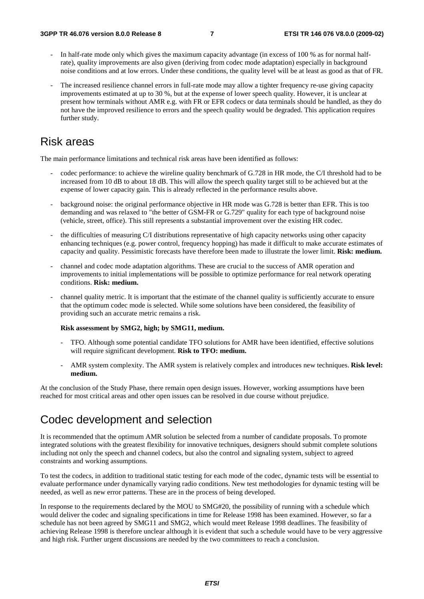- In half-rate mode only which gives the maximum capacity advantage (in excess of 100 % as for normal halfrate), quality improvements are also given (deriving from codec mode adaptation) especially in background noise conditions and at low errors. Under these conditions, the quality level will be at least as good as that of FR.
- The increased resilience channel errors in full-rate mode may allow a tighter frequency re-use giving capacity improvements estimated at up to 30 %, but at the expense of lower speech quality. However, it is unclear at present how terminals without AMR e.g. with FR or EFR codecs or data terminals should be handled, as they do not have the improved resilience to errors and the speech quality would be degraded. This application requires further study.

### Risk areas

The main performance limitations and technical risk areas have been identified as follows:

- codec performance: to achieve the wireline quality benchmark of G.728 in HR mode, the C/I threshold had to be increased from 10 dB to about 18 dB. This will allow the speech quality target still to be achieved but at the expense of lower capacity gain. This is already reflected in the performance results above.
- background noise: the original performance objective in HR mode was G.728 is better than EFR. This is too demanding and was relaxed to "the better of GSM-FR or G.729" quality for each type of background noise (vehicle, street, office). This still represents a substantial improvement over the existing HR codec.
- the difficulties of measuring C/I distributions representative of high capacity networks using other capacity enhancing techniques (e.g. power control, frequency hopping) has made it difficult to make accurate estimates of capacity and quality. Pessimistic forecasts have therefore been made to illustrate the lower limit. **Risk: medium.**
- channel and codec mode adaptation algorithms. These are crucial to the success of AMR operation and improvements to initial implementations will be possible to optimize performance for real network operating conditions. **Risk: medium.**
- channel quality metric. It is important that the estimate of the channel quality is sufficiently accurate to ensure that the optimum codec mode is selected. While some solutions have been considered, the feasibility of providing such an accurate metric remains a risk.

#### **Risk assessment by SMG2, high; by SMG11, medium.**

- TFO. Although some potential candidate TFO solutions for AMR have been identified, effective solutions will require significant development. **Risk to TFO: medium.**
- AMR system complexity. The AMR system is relatively complex and introduces new techniques. **Risk level: medium.**

At the conclusion of the Study Phase, there remain open design issues. However, working assumptions have been reached for most critical areas and other open issues can be resolved in due course without prejudice.

## Codec development and selection

It is recommended that the optimum AMR solution be selected from a number of candidate proposals. To promote integrated solutions with the greatest flexibility for innovative techniques, designers should submit complete solutions including not only the speech and channel codecs, but also the control and signaling system, subject to agreed constraints and working assumptions.

To test the codecs, in addition to traditional static testing for each mode of the codec, dynamic tests will be essential to evaluate performance under dynamically varying radio conditions. New test methodologies for dynamic testing will be needed, as well as new error patterns. These are in the process of being developed.

In response to the requirements declared by the MOU to SMG#20, the possibility of running with a schedule which would deliver the codec and signaling specifications in time for Release 1998 has been examined. However, so far a schedule has not been agreed by SMG11 and SMG2, which would meet Release 1998 deadlines. The feasibility of achieving Release 1998 is therefore unclear although it is evident that such a schedule would have to be very aggressive and high risk. Further urgent discussions are needed by the two committees to reach a conclusion.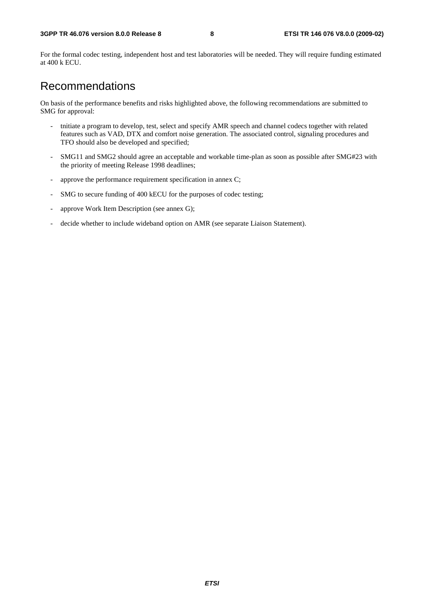For the formal codec testing, independent host and test laboratories will be needed. They will require funding estimated at 400 k ECU.

## Recommendations

On basis of the performance benefits and risks highlighted above, the following recommendations are submitted to SMG for approval:

- tnitiate a program to develop, test, select and specify AMR speech and channel codecs together with related features such as VAD, DTX and comfort noise generation. The associated control, signaling procedures and TFO should also be developed and specified;
- SMG11 and SMG2 should agree an acceptable and workable time-plan as soon as possible after SMG#23 with the priority of meeting Release 1998 deadlines;
- approve the performance requirement specification in annex C;
- SMG to secure funding of 400 kECU for the purposes of codec testing;
- approve Work Item Description (see annex G);
- decide whether to include wideband option on AMR (see separate Liaison Statement).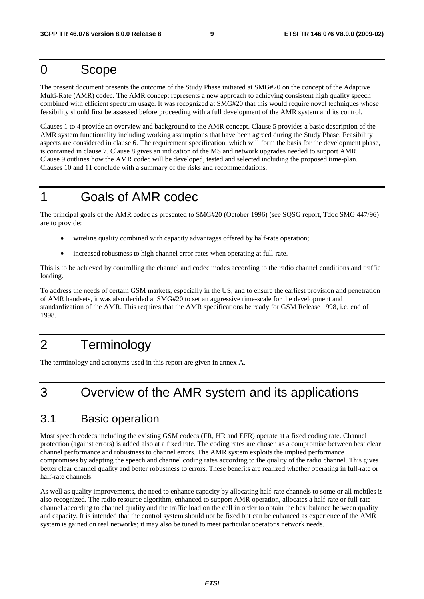## 0 Scope

The present document presents the outcome of the Study Phase initiated at SMG#20 on the concept of the Adaptive Multi-Rate (AMR) codec. The AMR concept represents a new approach to achieving consistent high quality speech combined with efficient spectrum usage. It was recognized at SMG#20 that this would require novel techniques whose feasibility should first be assessed before proceeding with a full development of the AMR system and its control.

Clauses 1 to 4 provide an overview and background to the AMR concept. Clause 5 provides a basic description of the AMR system functionality including working assumptions that have been agreed during the Study Phase. Feasibility aspects are considered in clause 6. The requirement specification, which will form the basis for the development phase, is contained in clause 7. Clause 8 gives an indication of the MS and network upgrades needed to support AMR. Clause 9 outlines how the AMR codec will be developed, tested and selected including the proposed time-plan. Clauses 10 and 11 conclude with a summary of the risks and recommendations.

## 1 Goals of AMR codec

The principal goals of the AMR codec as presented to SMG#20 (October 1996) (see SQSG report, Tdoc SMG 447/96) are to provide:

- wireline quality combined with capacity advantages offered by half-rate operation;
- increased robustness to high channel error rates when operating at full-rate.

This is to be achieved by controlling the channel and codec modes according to the radio channel conditions and traffic loading.

To address the needs of certain GSM markets, especially in the US, and to ensure the earliest provision and penetration of AMR handsets, it was also decided at SMG#20 to set an aggressive time-scale for the development and standardization of the AMR. This requires that the AMR specifications be ready for GSM Release 1998, i.e. end of 1998.

## 2 Terminology

The terminology and acronyms used in this report are given in annex A.

## 3 Overview of the AMR system and its applications

## 3.1 Basic operation

Most speech codecs including the existing GSM codecs (FR, HR and EFR) operate at a fixed coding rate. Channel protection (against errors) is added also at a fixed rate. The coding rates are chosen as a compromise between best clear channel performance and robustness to channel errors. The AMR system exploits the implied performance compromises by adapting the speech and channel coding rates according to the quality of the radio channel. This gives better clear channel quality and better robustness to errors. These benefits are realized whether operating in full-rate or half-rate channels.

As well as quality improvements, the need to enhance capacity by allocating half-rate channels to some or all mobiles is also recognized. The radio resource algorithm, enhanced to support AMR operation, allocates a half-rate or full-rate channel according to channel quality and the traffic load on the cell in order to obtain the best balance between quality and capacity. It is intended that the control system should not be fixed but can be enhanced as experience of the AMR system is gained on real networks; it may also be tuned to meet particular operator's network needs.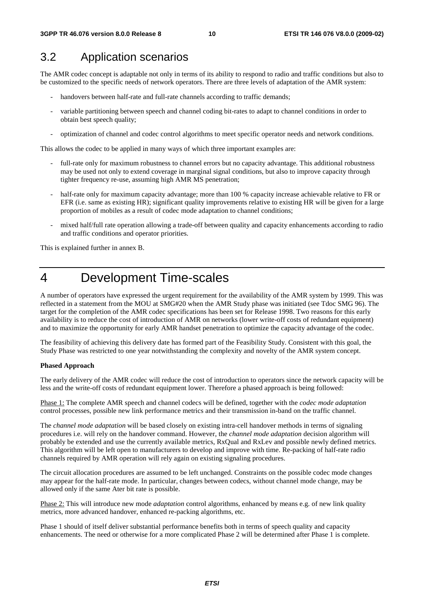## 3.2 Application scenarios

The AMR codec concept is adaptable not only in terms of its ability to respond to radio and traffic conditions but also to be customized to the specific needs of network operators. There are three levels of adaptation of the AMR system:

- handovers between half-rate and full-rate channels according to traffic demands;
- variable partitioning between speech and channel coding bit-rates to adapt to channel conditions in order to obtain best speech quality;
- optimization of channel and codec control algorithms to meet specific operator needs and network conditions.

This allows the codec to be applied in many ways of which three important examples are:

- full-rate only for maximum robustness to channel errors but no capacity advantage. This additional robustness may be used not only to extend coverage in marginal signal conditions, but also to improve capacity through tighter frequency re-use, assuming high AMR MS penetration;
- half-rate only for maximum capacity advantage; more than 100 % capacity increase achievable relative to FR or EFR (i.e. same as existing HR); significant quality improvements relative to existing HR will be given for a large proportion of mobiles as a result of codec mode adaptation to channel conditions;
- mixed half/full rate operation allowing a trade-off between quality and capacity enhancements according to radio and traffic conditions and operator priorities.

This is explained further in annex B.

## 4 Development Time-scales

A number of operators have expressed the urgent requirement for the availability of the AMR system by 1999. This was reflected in a statement from the MOU at SMG#20 when the AMR Study phase was initiated (see Tdoc SMG 96). The target for the completion of the AMR codec specifications has been set for Release 1998. Two reasons for this early availability is to reduce the cost of introduction of AMR on networks (lower write-off costs of redundant equipment) and to maximize the opportunity for early AMR handset penetration to optimize the capacity advantage of the codec.

The feasibility of achieving this delivery date has formed part of the Feasibility Study. Consistent with this goal, the Study Phase was restricted to one year notwithstanding the complexity and novelty of the AMR system concept.

#### **Phased Approach**

The early delivery of the AMR codec will reduce the cost of introduction to operators since the network capacity will be less and the write-off costs of redundant equipment lower. Therefore a phased approach is being followed:

Phase 1: The complete AMR speech and channel codecs will be defined, together with the *codec mode adaptation* control processes, possible new link performance metrics and their transmission in-band on the traffic channel.

The *channel mode adaptation* will be based closely on existing intra-cell handover methods in terms of signaling procedures i.e. will rely on the handover command. However, the *channel mode adaptation* decision algorithm will probably be extended and use the currently available metrics, RxQual and RxLev and possible newly defined metrics. This algorithm will be left open to manufacturers to develop and improve with time. Re-packing of half-rate radio channels required by AMR operation will rely again on existing signaling procedures.

The circuit allocation procedures are assumed to be left unchanged. Constraints on the possible codec mode changes may appear for the half-rate mode. In particular, changes between codecs, without channel mode change, may be allowed only if the same Ater bit rate is possible.

Phase 2: This will introduce new mode *adaptation* control algorithms, enhanced by means e.g. of new link quality metrics, more advanced handover, enhanced re-packing algorithms, etc.

Phase 1 should of itself deliver substantial performance benefits both in terms of speech quality and capacity enhancements. The need or otherwise for a more complicated Phase 2 will be determined after Phase 1 is complete.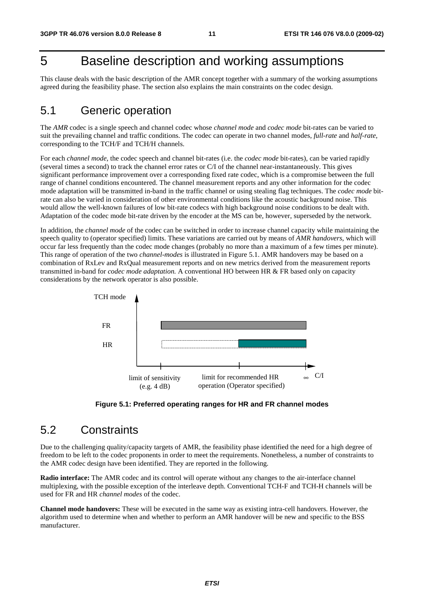## 5 Baseline description and working assumptions

This clause deals with the basic description of the AMR concept together with a summary of the working assumptions agreed during the feasibility phase. The section also explains the main constraints on the codec design.

### 5.1 Generic operation

The *AMR* codec is a single speech and channel codec whose *channel mode* and *codec mode* bit-rates can be varied to suit the prevailing channel and traffic conditions. The codec can operate in two channel modes, *full-rate* and *half-rate*, corresponding to the TCH/F and TCH/H channels.

For each *channel mode*, the codec speech and channel bit-rates (i.e. the *codec mode* bit-rates), can be varied rapidly (several times a second) to track the channel error rates or C/I of the channel near-instantaneously. This gives significant performance improvement over a corresponding fixed rate codec, which is a compromise between the full range of channel conditions encountered. The channel measurement reports and any other information for the codec mode adaptation will be transmitted in-band in the traffic channel or using stealing flag techniques. The *codec mode* bitrate can also be varied in consideration of other environmental conditions like the acoustic background noise. This would allow the well-known failures of low bit-rate codecs with high background noise conditions to be dealt with. Adaptation of the codec mode bit-rate driven by the encoder at the MS can be, however, superseded by the network.

In addition, the *channel mode* of the codec can be switched in order to increase channel capacity while maintaining the speech quality to (operator specified) limits. These variations are carried out by means of *AMR handovers*, which will occur far less frequently than the codec mode changes (probably no more than a maximum of a few times per minute). This range of operation of the two *channel*-*modes* is illustrated in Figure 5.1. AMR handovers may be based on a combination of RxLev and RxQual measurement reports and on new metrics derived from the measurement reports transmitted in-band for *codec mode adaptation.* A conventional HO between HR & FR based only on capacity considerations by the network operator is also possible.



**Figure 5.1: Preferred operating ranges for HR and FR channel modes**

### 5.2 Constraints

Due to the challenging quality/capacity targets of AMR, the feasibility phase identified the need for a high degree of freedom to be left to the codec proponents in order to meet the requirements. Nonetheless, a number of constraints to the AMR codec design have been identified. They are reported in the following.

**Radio interface:** The AMR codec and its control will operate without any changes to the air-interface channel multiplexing, with the possible exception of the interleave depth. Conventional TCH-F and TCH-H channels will be used for FR and HR *channel modes* of the codec.

**Channel mode handovers:** These will be executed in the same way as existing intra-cell handovers. However, the algorithm used to determine when and whether to perform an AMR handover will be new and specific to the BSS manufacturer.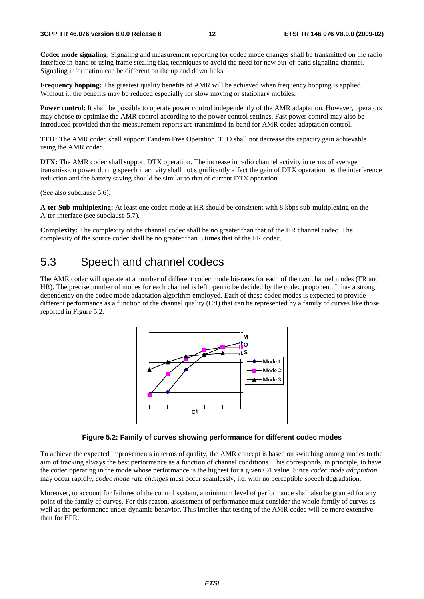**Codec mode signaling:** Signaling and measurement reporting for codec mode changes shall be transmitted on the radio interface in-band or using frame stealing flag techniques to avoid the need for new out-of-band signaling channel. Signaling information can be different on the up and down links.

**Frequency hopping:** The greatest quality benefits of AMR will be achieved when frequency hopping is applied. Without it, the benefits may be reduced especially for slow moving or stationary mobiles.

**Power control:** It shall be possible to operate power control independently of the AMR adaptation. However, operators may choose to optimize the AMR control according to the power control settings. Fast power control may also be introduced provided that the measurement reports are transmitted in-band for AMR codec adaptation control.

**TFO:** The AMR codec shall support Tandem Free Operation. TFO shall not decrease the capacity gain achievable using the AMR codec.

**DTX:** The AMR codec shall support DTX operation. The increase in radio channel activity in terms of average transmission power during speech inactivity shall not significantly affect the gain of DTX operation i.e. the interference reduction and the battery saving should be similar to that of current DTX operation.

(See also subclause 5.6).

**A-ter Sub-multiplexing:** At least one codec mode at HR should be consistent with 8 kbps sub-multiplexing on the A-ter interface (see subclause 5.7).

**Complexity:** The complexity of the channel codec shall be no greater than that of the HR channel codec. The complexity of the source codec shall be no greater than 8 times that of the FR codec.

## 5.3 Speech and channel codecs

The AMR codec will operate at a number of different codec mode bit-rates for each of the two channel modes (FR and HR). The precise number of modes for each channel is left open to be decided by the codec proponent. It has a strong dependency on the codec mode adaptation algorithm employed. Each of these codec modes is expected to provide different performance as a function of the channel quality  $(C/I)$  that can be represented by a family of curves like those reported in Figure 5.2.



#### **Figure 5.2: Family of curves showing performance for different codec modes**

To achieve the expected improvements in terms of quality, the AMR concept is based on switching among modes to the aim of tracking always the best performance as a function of channel conditions. This corresponds, in principle, to have the codec operating in the mode whose performance is the highest for a given C/I value. Since *codec mode adaptation* may occur rapidly, *codec mode rate changes* must occur seamlessly, i.e. with no perceptible speech degradation.

Moreover, to account for failures of the control system, a minimum level of performance shall also be granted for any point of the family of curves. For this reason, assessment of performance must consider the whole family of curves as well as the performance under dynamic behavior. This implies that testing of the AMR codec will be more extensive than for EFR.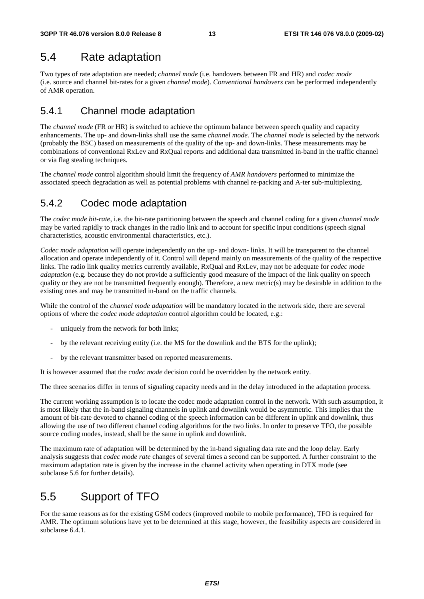## 5.4 Rate adaptation

Two types of rate adaptation are needed; *channel mode* (i.e. handovers between FR and HR) and *codec mode* (i.e. source and channel bit-rates for a given *channel mode*). *Conventional handovers* can be performed independently of AMR operation.

### 5.4.1 Channel mode adaptation

The *channel mode* (FR or HR) is switched to achieve the optimum balance between speech quality and capacity enhancements. The up- and down-links shall use the same *channel mode.* The *channel mode* is selected by the network (probably the BSC) based on measurements of the quality of the up- and down-links. These measurements may be combinations of conventional RxLev and RxQual reports and additional data transmitted in-band in the traffic channel or via flag stealing techniques.

The *channel mode* control algorithm should limit the frequency of *AMR handovers* performed to minimize the associated speech degradation as well as potential problems with channel re-packing and A-ter sub-multiplexing.

### 5.4.2 Codec mode adaptation

The *codec mode bit-rate*, i.e. the bit-rate partitioning between the speech and channel coding for a given *channel mode* may be varied rapidly to track changes in the radio link and to account for specific input conditions (speech signal characteristics, acoustic environmental characteristics, etc.).

*Codec mode adaptation* will operate independently on the up- and down- links. It will be transparent to the channel allocation and operate independently of it. Control will depend mainly on measurements of the quality of the respective links. The radio link quality metrics currently available, RxQual and RxLev, may not be adequate for *codec mode adaptation* (e.g. because they do not provide a sufficiently good measure of the impact of the link quality on speech quality or they are not be transmitted frequently enough). Therefore, a new metric(s) may be desirable in addition to the existing ones and may be transmitted in-band on the traffic channels.

While the control of the *channel mode adaptation* will be mandatory located in the network side, there are several options of where the *codec mode adaptation* control algorithm could be located, e.g.:

- uniquely from the network for both links;
- by the relevant receiving entity (i.e. the MS for the downlink and the BTS for the uplink);
- by the relevant transmitter based on reported measurements.

It is however assumed that the *codec mode* decision could be overridden by the network entity.

The three scenarios differ in terms of signaling capacity needs and in the delay introduced in the adaptation process.

The current working assumption is to locate the codec mode adaptation control in the network. With such assumption, it is most likely that the in-band signaling channels in uplink and downlink would be asymmetric. This implies that the amount of bit-rate devoted to channel coding of the speech information can be different in uplink and downlink, thus allowing the use of two different channel coding algorithms for the two links. In order to preserve TFO, the possible source coding modes, instead, shall be the same in uplink and downlink.

The maximum rate of adaptation will be determined by the in-band signaling data rate and the loop delay. Early analysis suggests that *codec mode rate* changes of several times a second can be supported. A further constraint to the maximum adaptation rate is given by the increase in the channel activity when operating in DTX mode (see subclause 5.6 for further details).

## 5.5 Support of TFO

For the same reasons as for the existing GSM codecs (improved mobile to mobile performance), TFO is required for AMR. The optimum solutions have yet to be determined at this stage, however, the feasibility aspects are considered in subclause 6.4.1.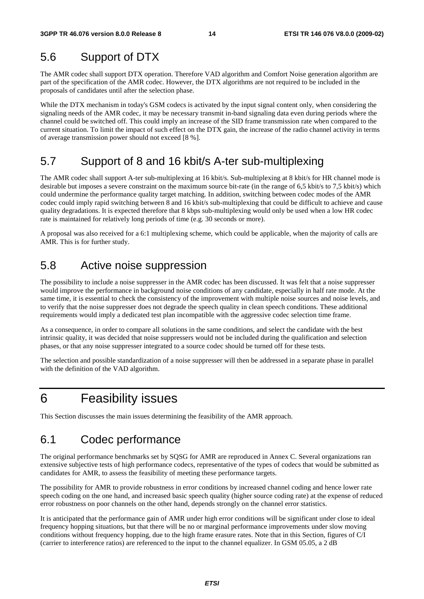## 5.6 Support of DTX

The AMR codec shall support DTX operation. Therefore VAD algorithm and Comfort Noise generation algorithm are part of the specification of the AMR codec. However, the DTX algorithms are not required to be included in the proposals of candidates until after the selection phase.

While the DTX mechanism in today's GSM codecs is activated by the input signal content only, when considering the signaling needs of the AMR codec, it may be necessary transmit in-band signaling data even during periods where the channel could be switched off. This could imply an increase of the SID frame transmission rate when compared to the current situation. To limit the impact of such effect on the DTX gain, the increase of the radio channel activity in terms of average transmission power should not exceed [8 %].

## 5.7 Support of 8 and 16 kbit/s A-ter sub-multiplexing

The AMR codec shall support A-ter sub-multiplexing at 16 kbit/s. Sub-multiplexing at 8 kbit/s for HR channel mode is desirable but imposes a severe constraint on the maximum source bit-rate (in the range of 6,5 kbit/s to 7,5 kbit/s) which could undermine the performance quality target matching. In addition, switching between codec modes of the AMR codec could imply rapid switching between 8 and 16 kbit/s sub-multiplexing that could be difficult to achieve and cause quality degradations. It is expected therefore that 8 kbps sub-multiplexing would only be used when a low HR codec rate is maintained for relatively long periods of time (e.g. 30 seconds or more).

A proposal was also received for a 6:1 multiplexing scheme, which could be applicable, when the majority of calls are AMR. This is for further study.

## 5.8 Active noise suppression

The possibility to include a noise suppresser in the AMR codec has been discussed. It was felt that a noise suppresser would improve the performance in background noise conditions of any candidate, especially in half rate mode. At the same time, it is essential to check the consistency of the improvement with multiple noise sources and noise levels, and to verify that the noise suppresser does not degrade the speech quality in clean speech conditions. These additional requirements would imply a dedicated test plan incompatible with the aggressive codec selection time frame.

As a consequence, in order to compare all solutions in the same conditions, and select the candidate with the best intrinsic quality, it was decided that noise suppressers would not be included during the qualification and selection phases, or that any noise suppresser integrated to a source codec should be turned off for these tests.

The selection and possible standardization of a noise suppresser will then be addressed in a separate phase in parallel with the definition of the VAD algorithm.

## 6 Feasibility issues

This Section discusses the main issues determining the feasibility of the AMR approach.

## 6.1 Codec performance

The original performance benchmarks set by SQSG for AMR are reproduced in Annex C. Several organizations ran extensive subjective tests of high performance codecs, representative of the types of codecs that would be submitted as candidates for AMR, to assess the feasibility of meeting these performance targets.

The possibility for AMR to provide robustness in error conditions by increased channel coding and hence lower rate speech coding on the one hand, and increased basic speech quality (higher source coding rate) at the expense of reduced error robustness on poor channels on the other hand, depends strongly on the channel error statistics.

It is anticipated that the performance gain of AMR under high error conditions will be significant under close to ideal frequency hopping situations, but that there will be no or marginal performance improvements under slow moving conditions without frequency hopping, due to the high frame erasure rates. Note that in this Section, figures of C/I (carrier to interference ratios) are referenced to the input to the channel equalizer. In GSM 05.05, a 2 dB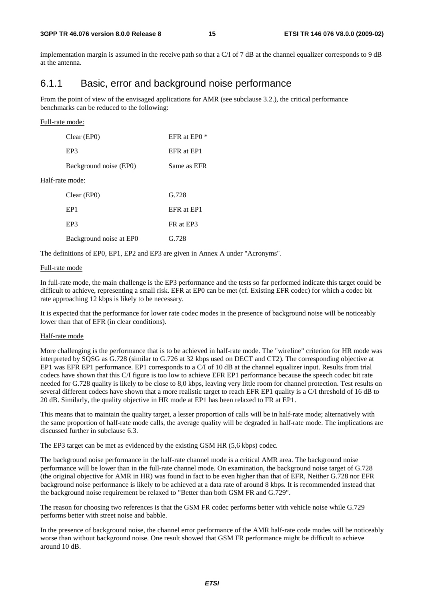implementation margin is assumed in the receive path so that a  $C/I$  of 7 dB at the channel equalizer corresponds to 9 dB at the antenna.

### 6.1.1 Basic, error and background noise performance

From the point of view of the envisaged applications for AMR (see subclause 3.2.), the critical performance benchmarks can be reduced to the following:

#### Full-rate mode:

| Clear (EP0)             | <b>EFR</b> at EP0 |
|-------------------------|-------------------|
| EP3                     | EFR at EP1        |
| Background noise (EP0)  | Same as EFR       |
| Half-rate mode:         |                   |
| Clear (EP0)             | G.728             |
| EP <sub>1</sub>         | EFR at EP1        |
| EP3                     | FR at EP3         |
| Background noise at EPO | G.728             |

The definitions of EP0, EP1, EP2 and EP3 are given in Annex A under "Acronyms".

#### Full-rate mode

In full-rate mode, the main challenge is the EP3 performance and the tests so far performed indicate this target could be difficult to achieve, representing a small risk. EFR at EP0 can be met (cf. Existing EFR codec) for which a codec bit rate approaching 12 kbps is likely to be necessary.

It is expected that the performance for lower rate codec modes in the presence of background noise will be noticeably lower than that of EFR (in clear conditions).

#### Half-rate mode

More challenging is the performance that is to be achieved in half-rate mode. The "wireline" criterion for HR mode was interpreted by SQSG as G.728 (similar to G.726 at 32 kbps used on DECT and CT2). The corresponding objective at EP1 was EFR EP1 performance. EP1 corresponds to a C/I of 10 dB at the channel equalizer input. Results from trial codecs have shown that this C/I figure is too low to achieve EFR EP1 performance because the speech codec bit rate needed for G.728 quality is likely to be close to 8,0 kbps, leaving very little room for channel protection. Test results on several different codecs have shown that a more realistic target to reach EFR EP1 quality is a C/I threshold of 16 dB to 20 dB. Similarly, the quality objective in HR mode at EP1 has been relaxed to FR at EP1.

This means that to maintain the quality target, a lesser proportion of calls will be in half-rate mode; alternatively with the same proportion of half-rate mode calls, the average quality will be degraded in half-rate mode. The implications are discussed further in subclause 6.3.

The EP3 target can be met as evidenced by the existing GSM HR (5,6 kbps) codec.

The background noise performance in the half-rate channel mode is a critical AMR area. The background noise performance will be lower than in the full-rate channel mode. On examination, the background noise target of G.728 (the original objective for AMR in HR) was found in fact to be even higher than that of EFR, Neither G.728 nor EFR background noise performance is likely to be achieved at a data rate of around 8 kbps. It is recommended instead that the background noise requirement be relaxed to "Better than both GSM FR and G.729".

The reason for choosing two references is that the GSM FR codec performs better with vehicle noise while G.729 performs better with street noise and babble.

In the presence of background noise, the channel error performance of the AMR half-rate code modes will be noticeably worse than without background noise. One result showed that GSM FR performance might be difficult to achieve around 10 dB.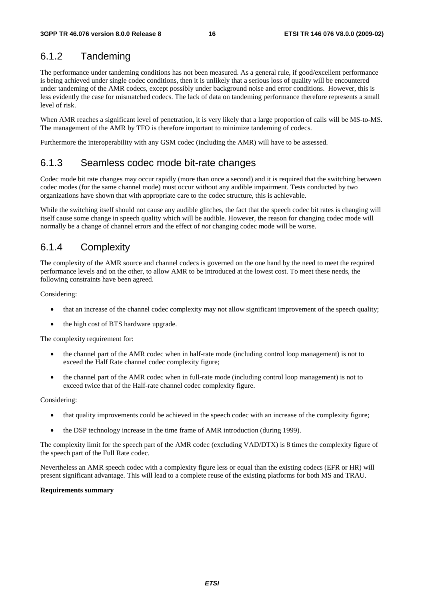## 6.1.2 Tandeming

The performance under tandeming conditions has not been measured. As a general rule, if good/excellent performance is being achieved under single codec conditions, then it is unlikely that a serious loss of quality will be encountered under tandeming of the AMR codecs, except possibly under background noise and error conditions. However, this is less evidently the case for mismatched codecs. The lack of data on tandeming performance therefore represents a small level of risk.

When AMR reaches a significant level of penetration, it is very likely that a large proportion of calls will be MS-to-MS. The management of the AMR by TFO is therefore important to minimize tandeming of codecs.

Furthermore the interoperability with any GSM codec (including the AMR) will have to be assessed.

### 6.1.3 Seamless codec mode bit-rate changes

Codec mode bit rate changes may occur rapidly (more than once a second) and it is required that the switching between codec modes (for the same channel mode) must occur without any audible impairment. Tests conducted by two organizations have shown that with appropriate care to the codec structure, this is achievable.

While the switching itself should not cause any audible glitches, the fact that the speech codec bit rates is changing will itself cause some change in speech quality which will be audible. However, the reason for changing codec mode will normally be a change of channel errors and the effect of *not* changing codec mode will be worse.

### 6.1.4 Complexity

The complexity of the AMR source and channel codecs is governed on the one hand by the need to meet the required performance levels and on the other, to allow AMR to be introduced at the lowest cost. To meet these needs, the following constraints have been agreed.

Considering:

- that an increase of the channel codec complexity may not allow significant improvement of the speech quality;
- the high cost of BTS hardware upgrade.

The complexity requirement for:

- the channel part of the AMR codec when in half-rate mode (including control loop management) is not to exceed the Half Rate channel codec complexity figure;
- the channel part of the AMR codec when in full-rate mode (including control loop management) is not to exceed twice that of the Half-rate channel codec complexity figure.

Considering:

- that quality improvements could be achieved in the speech codec with an increase of the complexity figure;
- the DSP technology increase in the time frame of AMR introduction (during 1999).

The complexity limit for the speech part of the AMR codec (excluding VAD/DTX) is 8 times the complexity figure of the speech part of the Full Rate codec.

Nevertheless an AMR speech codec with a complexity figure less or equal than the existing codecs (EFR or HR) will present significant advantage. This will lead to a complete reuse of the existing platforms for both MS and TRAU.

#### **Requirements summary**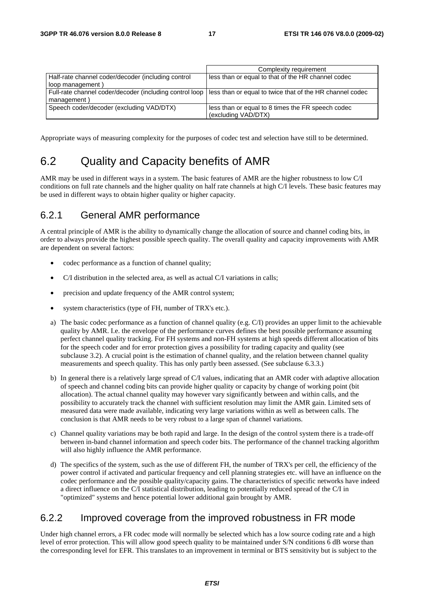|                                                         | Complexity requirement                                   |
|---------------------------------------------------------|----------------------------------------------------------|
| Half-rate channel coder/decoder (including control      | less than or equal to that of the HR channel codec       |
| loop management)                                        |                                                          |
| Full-rate channel coder/decoder (including control loop | less than or equal to twice that of the HR channel codec |
| management)                                             |                                                          |
| Speech coder/decoder (excluding VAD/DTX)                | less than or equal to 8 times the FR speech codec        |
|                                                         | (excluding VAD/DTX)                                      |

Appropriate ways of measuring complexity for the purposes of codec test and selection have still to be determined.

## 6.2 Quality and Capacity benefits of AMR

AMR may be used in different ways in a system. The basic features of AMR are the higher robustness to low C/I conditions on full rate channels and the higher quality on half rate channels at high C/I levels. These basic features may be used in different ways to obtain higher quality or higher capacity.

### 6.2.1 General AMR performance

A central principle of AMR is the ability to dynamically change the allocation of source and channel coding bits, in order to always provide the highest possible speech quality. The overall quality and capacity improvements with AMR are dependent on several factors:

- codec performance as a function of channel quality;
- C/I distribution in the selected area, as well as actual C/I variations in calls;
- precision and update frequency of the AMR control system;
- system characteristics (type of FH, number of TRX's etc.).
- a) The basic codec performance as a function of channel quality (e.g. C/I) provides an upper limit to the achievable quality by AMR. I.e. the envelope of the performance curves defines the best possible performance assuming perfect channel quality tracking. For FH systems and non-FH systems at high speeds different allocation of bits for the speech coder and for error protection gives a possibility for trading capacity and quality (see subclause 3.2). A crucial point is the estimation of channel quality, and the relation between channel quality measurements and speech quality. This has only partly been assessed. (See subclause 6.3.3.)
- b) In general there is a relatively large spread of C/I values, indicating that an AMR coder with adaptive allocation of speech and channel coding bits can provide higher quality or capacity by change of working point (bit allocation). The actual channel quality may however vary significantly between and within calls, and the possibility to accurately track the channel with sufficient resolution may limit the AMR gain. Limited sets of measured data were made available, indicating very large variations within as well as between calls. The conclusion is that AMR needs to be very robust to a large span of channel variations.
- c) Channel quality variations may be both rapid and large. In the design of the control system there is a trade-off between in-band channel information and speech coder bits. The performance of the channel tracking algorithm will also highly influence the AMR performance.
- d) The specifics of the system, such as the use of different FH, the number of TRX's per cell, the efficiency of the power control if activated and particular frequency and cell planning strategies etc. will have an influence on the codec performance and the possible quality/capacity gains. The characteristics of specific networks have indeed a direct influence on the C/I statistical distribution, leading to potentially reduced spread of the C/I in "optimized" systems and hence potential lower additional gain brought by AMR.

### 6.2.2 Improved coverage from the improved robustness in FR mode

Under high channel errors, a FR codec mode will normally be selected which has a low source coding rate and a high level of error protection. This will allow good speech quality to be maintained under S/N conditions 6 dB worse than the corresponding level for EFR. This translates to an improvement in terminal or BTS sensitivity but is subject to the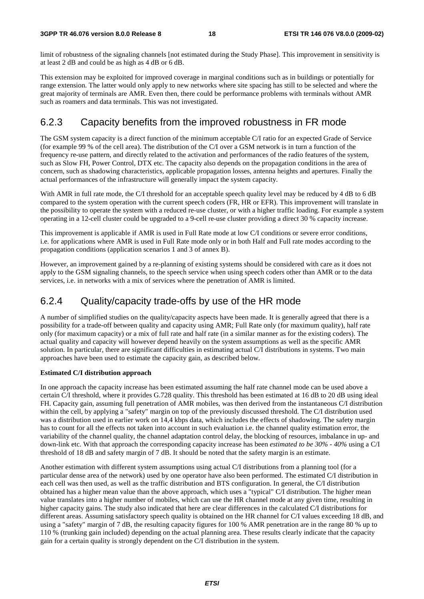limit of robustness of the signaling channels [not estimated during the Study Phase]. This improvement in sensitivity is at least 2 dB and could be as high as 4 dB or 6 dB.

This extension may be exploited for improved coverage in marginal conditions such as in buildings or potentially for range extension. The latter would only apply to new networks where site spacing has still to be selected and where the great majority of terminals are AMR. Even then, there could be performance problems with terminals without AMR such as roamers and data terminals. This was not investigated.

### 6.2.3 Capacity benefits from the improved robustness in FR mode

The GSM system capacity is a direct function of the minimum acceptable C/I ratio for an expected Grade of Service (for example 99 % of the cell area). The distribution of the C/I over a GSM network is in turn a function of the frequency re-use pattern, and directly related to the activation and performances of the radio features of the system, such as Slow FH, Power Control, DTX etc. The capacity also depends on the propagation conditions in the area of concern, such as shadowing characteristics, applicable propagation losses, antenna heights and apertures. Finally the actual performances of the infrastructure will generally impact the system capacity.

With AMR in full rate mode, the C/I threshold for an acceptable speech quality level may be reduced by 4 dB to 6 dB compared to the system operation with the current speech coders (FR, HR or EFR). This improvement will translate in the possibility to operate the system with a reduced re-use cluster, or with a higher traffic loading. For example a system operating in a 12-cell cluster could be upgraded to a 9-cell re-use cluster providing a direct 30 % capacity increase.

This improvement is applicable if AMR is used in Full Rate mode at low C/I conditions or severe error conditions, i.e. for applications where AMR is used in Full Rate mode only or in both Half and Full rate modes according to the propagation conditions (application scenarios 1 and 3 of annex B).

However, an improvement gained by a re-planning of existing systems should be considered with care as it does not apply to the GSM signaling channels, to the speech service when using speech coders other than AMR or to the data services, i.e. in networks with a mix of services where the penetration of AMR is limited.

### 6.2.4 Quality/capacity trade-offs by use of the HR mode

A number of simplified studies on the quality/capacity aspects have been made. It is generally agreed that there is a possibility for a trade-off between quality and capacity using AMR; Full Rate only (for maximum quality), half rate only (for maximum capacity) or a mix of full rate and half rate (in a similar manner as for the existing coders). The actual quality and capacity will however depend heavily on the system assumptions as well as the specific AMR solution. In particular, there are significant difficulties in estimating actual C/I distributions in systems. Two main approaches have been used to estimate the capacity gain, as described below.

#### **Estimated C/I distribution approach**

In one approach the capacity increase has been estimated assuming the half rate channel mode can be used above a certain C/I threshold, where it provides G.728 quality. This threshold has been estimated at 16 dB to 20 dB using ideal FH. Capacity gain, assuming full penetration of AMR mobiles, was then derived from the instantaneous C/I distribution within the cell, by applying a "safety" margin on top of the previously discussed threshold. The C/I distribution used was a distribution used in earlier work on 14,4 kbps data, which includes the effects of shadowing. The safety margin has to count for all the effects not taken into account in such evaluation i.e. the channel quality estimation error, the variability of the channel quality, the channel adaptation control delay, the blocking of resources, imbalance in up- and down-link etc. With that approach the corresponding capacity increase has been *estimated to be 30% - 40%* using a C/I threshold of 18 dB and safety margin of 7 dB. It should be noted that the safety margin is an estimate.

Another estimation with different system assumptions using actual C/I distributions from a planning tool (for a particular dense area of the network) used by one operator have also been performed. The estimated C/I distribution in each cell was then used, as well as the traffic distribution and BTS configuration. In general, the C/I distribution obtained has a higher mean value than the above approach, which uses a "typical" C/I distribution. The higher mean value translates into a higher number of mobiles, which can use the HR channel mode at any given time, resulting in higher capacity gains. The study also indicated that here are clear differences in the calculated C/I distributions for different areas. Assuming satisfactory speech quality is obtained on the HR channel for C/I values exceeding 18 dB, and using a "safety" margin of 7 dB, the resulting capacity figures for 100 % AMR penetration are in the range 80 % up to 110 % (trunking gain included) depending on the actual planning area. These results clearly indicate that the capacity gain for a certain quality is strongly dependent on the C/I distribution in the system.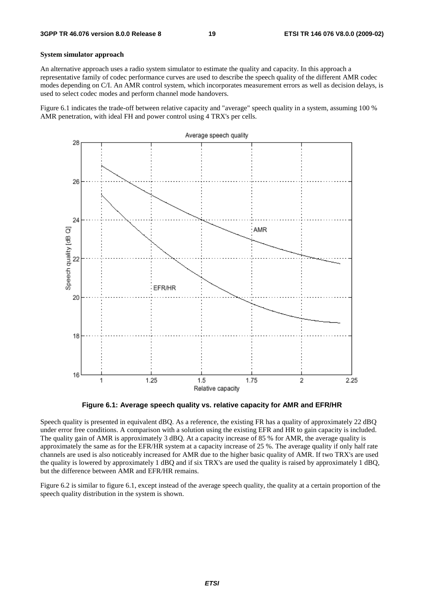#### **System simulator approach**

An alternative approach uses a radio system simulator to estimate the quality and capacity. In this approach a representative family of codec performance curves are used to describe the speech quality of the different AMR codec modes depending on C/I. An AMR control system, which incorporates measurement errors as well as decision delays, is used to select codec modes and perform channel mode handovers.

Figure 6.1 indicates the trade-off between relative capacity and "average" speech quality in a system, assuming 100 % AMR penetration, with ideal FH and power control using 4 TRX's per cells.



**Figure 6.1: Average speech quality vs. relative capacity for AMR and EFR/HR** 

Speech quality is presented in equivalent dBQ. As a reference, the existing FR has a quality of approximately 22 dBQ under error free conditions. A comparison with a solution using the existing EFR and HR to gain capacity is included. The quality gain of AMR is approximately 3 dBQ. At a capacity increase of 85 % for AMR, the average quality is approximately the same as for the EFR/HR system at a capacity increase of 25 %. The average quality if only half rate channels are used is also noticeably increased for AMR due to the higher basic quality of AMR. If two TRX's are used the quality is lowered by approximately 1 dBQ and if six TRX's are used the quality is raised by approximately 1 dBQ, but the difference between AMR and EFR/HR remains.

Figure 6.2 is similar to figure 6.1, except instead of the average speech quality, the quality at a certain proportion of the speech quality distribution in the system is shown.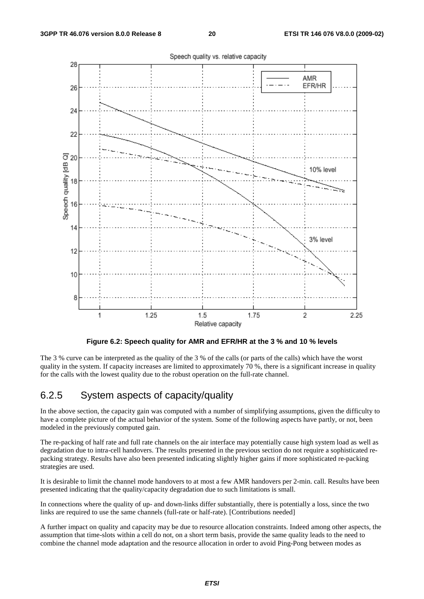

**Figure 6.2: Speech quality for AMR and EFR/HR at the 3 % and 10 % levels** 

The 3 % curve can be interpreted as the quality of the 3 % of the calls (or parts of the calls) which have the worst quality in the system. If capacity increases are limited to approximately 70 %, there is a significant increase in quality for the calls with the lowest quality due to the robust operation on the full-rate channel.

### 6.2.5 System aspects of capacity/quality

In the above section, the capacity gain was computed with a number of simplifying assumptions, given the difficulty to have a complete picture of the actual behavior of the system. Some of the following aspects have partly, or not, been modeled in the previously computed gain.

The re-packing of half rate and full rate channels on the air interface may potentially cause high system load as well as degradation due to intra-cell handovers. The results presented in the previous section do not require a sophisticated repacking strategy. Results have also been presented indicating slightly higher gains if more sophisticated re-packing strategies are used.

It is desirable to limit the channel mode handovers to at most a few AMR handovers per 2-min. call. Results have been presented indicating that the quality/capacity degradation due to such limitations is small.

In connections where the quality of up- and down-links differ substantially, there is potentially a loss, since the two links are required to use the same channels (full-rate or half-rate). [Contributions needed]

A further impact on quality and capacity may be due to resource allocation constraints. Indeed among other aspects, the assumption that time-slots within a cell do not, on a short term basis, provide the same quality leads to the need to combine the channel mode adaptation and the resource allocation in order to avoid Ping-Pong between modes as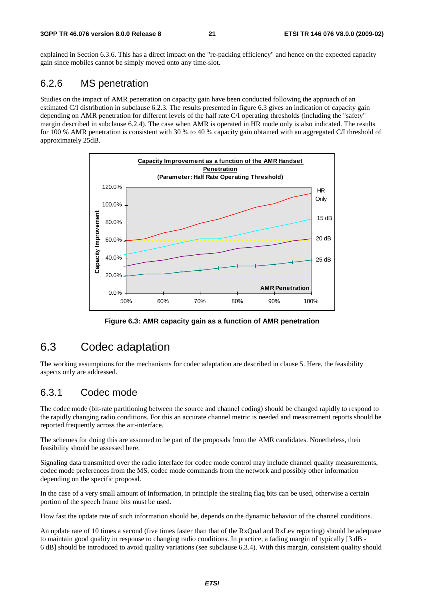explained in Section 6.3.6. This has a direct impact on the "re-packing efficiency" and hence on the expected capacity gain since mobiles cannot be simply moved onto any time-slot.

### 6.2.6 MS penetration

Studies on the impact of AMR penetration on capacity gain have been conducted following the approach of an estimated C/I distribution in subclause 6.2.3. The results presented in figure 6.3 gives an indication of capacity gain depending on AMR penetration for different levels of the half rate C/I operating thresholds (including the "safety" margin described in subclause 6.2.4). The case when AMR is operated in HR mode only is also indicated. The results for 100 % AMR penetration is consistent with 30 % to 40 % capacity gain obtained with an aggregated C/I threshold of approximately 25dB.



**Figure 6.3: AMR capacity gain as a function of AMR penetration** 

## 6.3 Codec adaptation

The working assumptions for the mechanisms for codec adaptation are described in clause 5. Here, the feasibility aspects only are addressed.

### 6.3.1 Codec mode

The codec mode (bit-rate partitioning between the source and channel coding) should be changed rapidly to respond to the rapidly changing radio conditions. For this an accurate channel metric is needed and measurement reports should be reported frequently across the air-interface.

The schemes for doing this are assumed to be part of the proposals from the AMR candidates. Nonetheless, their feasibility should be assessed here.

Signaling data transmitted over the radio interface for codec mode control may include channel quality measurements, codec mode preferences from the MS, codec mode commands from the network and possibly other information depending on the specific proposal.

In the case of a very small amount of information, in principle the stealing flag bits can be used, otherwise a certain portion of the speech frame bits must be used.

How fast the update rate of such information should be, depends on the dynamic behavior of the channel conditions.

An update rate of 10 times a second (five times faster than that of the RxQual and RxLev reporting) should be adequate to maintain good quality in response to changing radio conditions. In practice, a fading margin of typically [3 dB - 6 dB] should be introduced to avoid quality variations (see subclause 6.3.4). With this margin, consistent quality should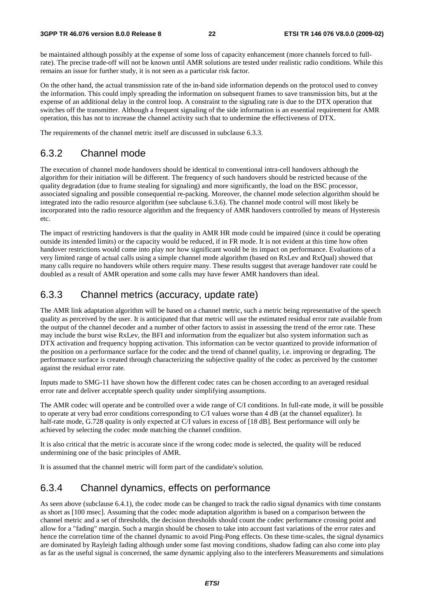be maintained although possibly at the expense of some loss of capacity enhancement (more channels forced to fullrate). The precise trade-off will not be known until AMR solutions are tested under realistic radio conditions. While this remains an issue for further study, it is not seen as a particular risk factor.

On the other hand, the actual transmission rate of the in-band side information depends on the protocol used to convey the information. This could imply spreading the information on subsequent frames to save transmission bits, but at the expense of an additional delay in the control loop. A constraint to the signaling rate is due to the DTX operation that switches off the transmitter. Although a frequent signaling of the side information is an essential requirement for AMR operation, this has not to increase the channel activity such that to undermine the effectiveness of DTX.

The requirements of the channel metric itself are discussed in subclause 6.3.3.

### 6.3.2 Channel mode

The execution of channel mode handovers should be identical to conventional intra-cell handovers although the algorithm for their initiation will be different. The frequency of such handovers should be restricted because of the quality degradation (due to frame stealing for signaling) and more significantly, the load on the BSC processor, associated signaling and possible consequential re-packing. Moreover, the channel mode selection algorithm should be integrated into the radio resource algorithm (see subclause 6.3.6). The channel mode control will most likely be incorporated into the radio resource algorithm and the frequency of AMR handovers controlled by means of Hysteresis etc.

The impact of restricting handovers is that the quality in AMR HR mode could be impaired (since it could be operating outside its intended limits) or the capacity would be reduced, if in FR mode. It is not evident at this time how often handover restrictions would come into play nor how significant would be its impact on performance. Evaluations of a very limited range of actual calls using a simple channel mode algorithm (based on RxLev and RxQual) showed that many calls require no handovers while others require many. These results suggest that average handover rate could be doubled as a result of AMR operation and some calls may have fewer AMR handovers than ideal.

### 6.3.3 Channel metrics (accuracy, update rate)

The AMR link adaptation algorithm will be based on a channel metric, such a metric being representative of the speech quality as perceived by the user. It is anticipated that that metric will use the estimated residual error rate available from the output of the channel decoder and a number of other factors to assist in assessing the trend of the error rate. These may include the burst wise RxLev, the BFI and information from the equalizer but also system information such as DTX activation and frequency hopping activation. This information can be vector quantized to provide information of the position on a performance surface for the codec and the trend of channel quality, i.e. improving or degrading. The performance surface is created through characterizing the subjective quality of the codec as perceived by the customer against the residual error rate.

Inputs made to SMG-11 have shown how the different codec rates can be chosen according to an averaged residual error rate and deliver acceptable speech quality under simplifying assumptions.

The AMR codec will operate and be controlled over a wide range of C/I conditions. In full-rate mode, it will be possible to operate at very bad error conditions corresponding to C/I values worse than 4 dB (at the channel equalizer). In half-rate mode, G.728 quality is only expected at C/I values in excess of [18 dB]. Best performance will only be achieved by selecting the codec mode matching the channel condition.

It is also critical that the metric is accurate since if the wrong codec mode is selected, the quality will be reduced undermining one of the basic principles of AMR.

It is assumed that the channel metric will form part of the candidate's solution.

### 6.3.4 Channel dynamics, effects on performance

As seen above (subclause 6.4.1), the codec mode can be changed to track the radio signal dynamics with time constants as short as [100 msec]. Assuming that the codec mode adaptation algorithm is based on a comparison between the channel metric and a set of thresholds, the decision thresholds should count the codec performance crossing point and allow for a "fading" margin. Such a margin should be chosen to take into account fast variations of the error rates and hence the correlation time of the channel dynamic to avoid Ping-Pong effects. On these time-scales, the signal dynamics are dominated by Rayleigh fading although under some fast moving conditions, shadow fading can also come into play as far as the useful signal is concerned, the same dynamic applying also to the interferers Measurements and simulations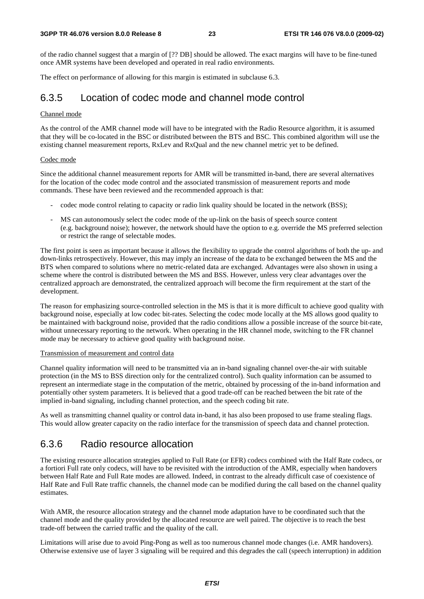of the radio channel suggest that a margin of [?? DB] should be allowed. The exact margins will have to be fine-tuned once AMR systems have been developed and operated in real radio environments.

The effect on performance of allowing for this margin is estimated in subclause 6.3.

### 6.3.5 Location of codec mode and channel mode control

#### Channel mode

As the control of the AMR channel mode will have to be integrated with the Radio Resource algorithm, it is assumed that they will be co-located in the BSC or distributed between the BTS and BSC. This combined algorithm will use the existing channel measurement reports, RxLev and RxQual and the new channel metric yet to be defined.

#### Codec mode

Since the additional channel measurement reports for AMR will be transmitted in-band, there are several alternatives for the location of the codec mode control and the associated transmission of measurement reports and mode commands. These have been reviewed and the recommended approach is that:

- codec mode control relating to capacity or radio link quality should be located in the network (BSS);
- MS can autonomously select the codec mode of the up-link on the basis of speech source content (e.g. background noise); however, the network should have the option to e.g. override the MS preferred selection or restrict the range of selectable modes.

The first point is seen as important because it allows the flexibility to upgrade the control algorithms of both the up- and down-links retrospectively. However, this may imply an increase of the data to be exchanged between the MS and the BTS when compared to solutions where no metric-related data are exchanged. Advantages were also shown in using a scheme where the control is distributed between the MS and BSS. However, unless very clear advantages over the centralized approach are demonstrated, the centralized approach will become the firm requirement at the start of the development.

The reason for emphasizing source-controlled selection in the MS is that it is more difficult to achieve good quality with background noise, especially at low codec bit-rates. Selecting the codec mode locally at the MS allows good quality to be maintained with background noise, provided that the radio conditions allow a possible increase of the source bit-rate, without unnecessary reporting to the network. When operating in the HR channel mode, switching to the FR channel mode may be necessary to achieve good quality with background noise.

#### Transmission of measurement and control data

Channel quality information will need to be transmitted via an in-band signaling channel over-the-air with suitable protection (in the MS to BSS direction only for the centralized control). Such quality information can be assumed to represent an intermediate stage in the computation of the metric, obtained by processing of the in-band information and potentially other system parameters. It is believed that a good trade-off can be reached between the bit rate of the implied in-band signaling, including channel protection, and the speech coding bit rate.

As well as transmitting channel quality or control data in-band, it has also been proposed to use frame stealing flags. This would allow greater capacity on the radio interface for the transmission of speech data and channel protection.

### 6.3.6 Radio resource allocation

The existing resource allocation strategies applied to Full Rate (or EFR) codecs combined with the Half Rate codecs, or a fortiori Full rate only codecs, will have to be revisited with the introduction of the AMR, especially when handovers between Half Rate and Full Rate modes are allowed. Indeed, in contrast to the already difficult case of coexistence of Half Rate and Full Rate traffic channels, the channel mode can be modified during the call based on the channel quality estimates.

With AMR, the resource allocation strategy and the channel mode adaptation have to be coordinated such that the channel mode and the quality provided by the allocated resource are well paired. The objective is to reach the best trade-off between the carried traffic and the quality of the call.

Limitations will arise due to avoid Ping-Pong as well as too numerous channel mode changes (i.e. AMR handovers). Otherwise extensive use of layer 3 signaling will be required and this degrades the call (speech interruption) in addition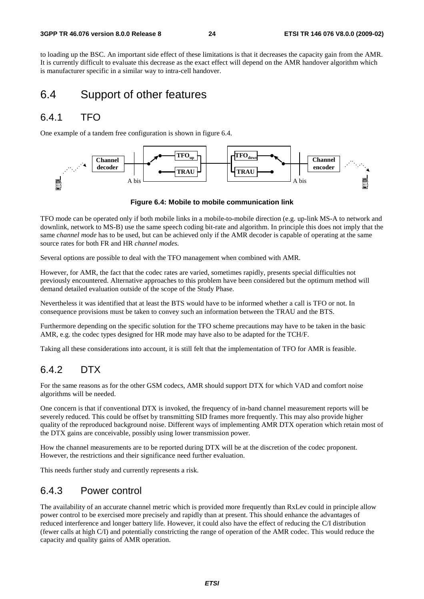to loading up the BSC. An important side effect of these limitations is that it decreases the capacity gain from the AMR. It is currently difficult to evaluate this decrease as the exact effect will depend on the AMR handover algorithm which is manufacturer specific in a similar way to intra-cell handover.

### 6.4 Support of other features

### 6.4.1 TFO

One example of a tandem free configuration is shown in figure 6.4.



**Figure 6.4: Mobile to mobile communication link** 

TFO mode can be operated only if both mobile links in a mobile-to-mobile direction (e.g. up-link MS-A to network and downlink, network to MS-B) use the same speech coding bit-rate and algorithm. In principle this does not imply that the same *channel mode* has to be used, but can be achieved only if the AMR decoder is capable of operating at the same source rates for both FR and HR *channel modes.*

Several options are possible to deal with the TFO management when combined with AMR.

However, for AMR, the fact that the codec rates are varied, sometimes rapidly, presents special difficulties not previously encountered. Alternative approaches to this problem have been considered but the optimum method will demand detailed evaluation outside of the scope of the Study Phase.

Nevertheless it was identified that at least the BTS would have to be informed whether a call is TFO or not. In consequence provisions must be taken to convey such an information between the TRAU and the BTS.

Furthermore depending on the specific solution for the TFO scheme precautions may have to be taken in the basic AMR, e.g. the codec types designed for HR mode may have also to be adapted for the TCH/F.

Taking all these considerations into account, it is still felt that the implementation of TFO for AMR is feasible.

### 6.4.2 DTX

For the same reasons as for the other GSM codecs, AMR should support DTX for which VAD and comfort noise algorithms will be needed.

One concern is that if conventional DTX is invoked, the frequency of in-band channel measurement reports will be severely reduced. This could be offset by transmitting SID frames more frequently. This may also provide higher quality of the reproduced background noise. Different ways of implementing AMR DTX operation which retain most of the DTX gains are conceivable, possibly using lower transmission power.

How the channel measurements are to be reported during DTX will be at the discretion of the codec proponent. However, the restrictions and their significance need further evaluation.

This needs further study and currently represents a risk.

### 6.4.3 Power control

The availability of an accurate channel metric which is provided more frequently than RxLev could in principle allow power control to be exercised more precisely and rapidly than at present. This should enhance the advantages of reduced interference and longer battery life*.* However, it could also have the effect of reducing the C/I distribution (fewer calls at high C/I) and potentially constricting the range of operation of the AMR codec. This would reduce the capacity and quality gains of AMR operation.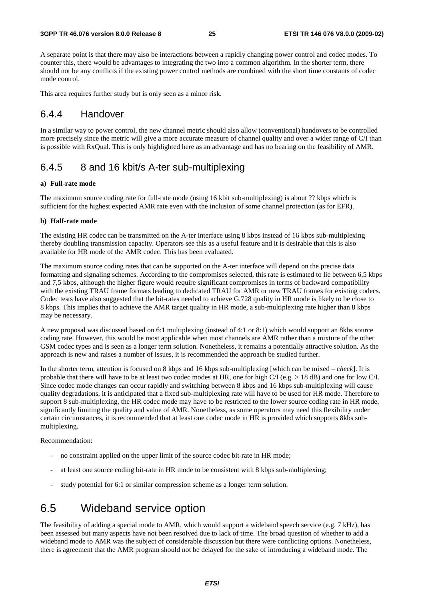A separate point is that there may also be interactions between a rapidly changing power control and codec modes. To counter this, there would be advantages to integrating the two into a common algorithm. In the shorter term, there should not be any conflicts if the existing power control methods are combined with the short time constants of codec mode control.

This area requires further study but is only seen as a minor risk.

### 6.4.4 Handover

In a similar way to power control, the new channel metric should also allow (conventional) handovers to be controlled more precisely since the metric will give a more accurate measure of channel quality and over a wider range of C/I than is possible with RxQual. This is only highlighted here as an advantage and has no bearing on the feasibility of AMR.

### 6.4.5 8 and 16 kbit/s A-ter sub-multiplexing

#### **a) Full-rate mode**

The maximum source coding rate for full-rate mode (using 16 kbit sub-multiplexing) is about ?? kbps which is sufficient for the highest expected AMR rate even with the inclusion of some channel protection (as for EFR).

#### **b) Half-rate mode**

The existing HR codec can be transmitted on the A-ter interface using 8 kbps instead of 16 kbps sub-multiplexing thereby doubling transmission capacity. Operators see this as a useful feature and it is desirable that this is also available for HR mode of the AMR codec. This has been evaluated.

The maximum source coding rates that can be supported on the A-ter interface will depend on the precise data formatting and signaling schemes. According to the compromises selected, this rate is estimated to lie between 6,5 kbps and 7,5 kbps, although the higher figure would require significant compromises in terms of backward compatibility with the existing TRAU frame formats leading to dedicated TRAU for AMR or new TRAU frames for existing codecs. Codec tests have also suggested that the bit-rates needed to achieve G.728 quality in HR mode is likely to be close to 8 kbps. This implies that to achieve the AMR target quality in HR mode, a sub-multiplexing rate higher than 8 kbps may be necessary.

A new proposal was discussed based on 6:1 multiplexing (instead of 4:1 or 8:1) which would support an 8kbs source coding rate. However, this would be most applicable when most channels are AMR rather than a mixture of the other GSM codec types and is seen as a longer term solution. Nonetheless, it remains a potentially attractive solution. As the approach is new and raises a number of issues, it is recommended the approach be studied further.

In the shorter term, attention is focused on 8 kbps and 16 kbps sub-multiplexing [which can be mixed *– check*]. It is probable that there will have to be at least two codec modes at HR, one for high C/I (e.g. > 18 dB) and one for low C/I. Since codec mode changes can occur rapidly and switching between 8 kbps and 16 kbps sub-multiplexing will cause quality degradations, it is anticipated that a fixed sub-multiplexing rate will have to be used for HR mode. Therefore to support 8 sub-multiplexing, the HR codec mode may have to be restricted to the lower source coding rate in HR mode, significantly limiting the quality and value of AMR. Nonetheless, as some operators may need this flexibility under certain circumstances, it is recommended that at least one codec mode in HR is provided which supports 8kbs submultiplexing.

Recommendation:

- no constraint applied on the upper limit of the source codec bit-rate in HR mode;
- at least one source coding bit-rate in HR mode to be consistent with 8 kbps sub-multiplexing;
- study potential for 6:1 or similar compression scheme as a longer term solution.

## 6.5 Wideband service option

The feasibility of adding a special mode to AMR, which would support a wideband speech service (e.g. 7 kHz), has been assessed but many aspects have not been resolved due to lack of time. The broad question of whether to add a wideband mode to AMR was the subject of considerable discussion but there were conflicting options. Nonetheless, there is agreement that the AMR program should not be delayed for the sake of introducing a wideband mode. The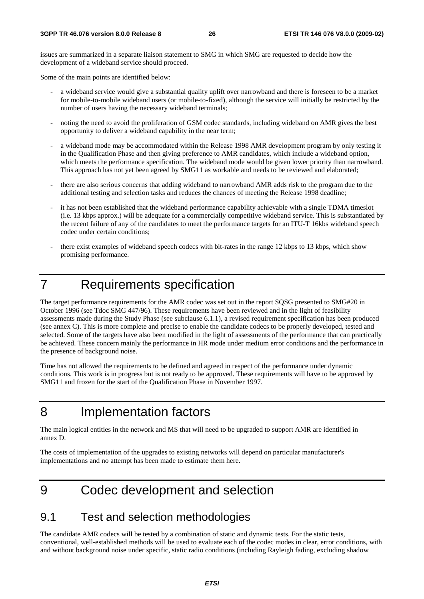issues are summarized in a separate liaison statement to SMG in which SMG are requested to decide how the development of a wideband service should proceed.

Some of the main points are identified below:

- a wideband service would give a substantial quality uplift over narrowband and there is foreseen to be a market for mobile-to-mobile wideband users (or mobile-to-fixed), although the service will initially be restricted by the number of users having the necessary wideband terminals;
- noting the need to avoid the proliferation of GSM codec standards, including wideband on AMR gives the best opportunity to deliver a wideband capability in the near term;
- a wideband mode may be accommodated within the Release 1998 AMR development program by only testing it in the Qualification Phase and then giving preference to AMR candidates, which include a wideband option, which meets the performance specification. The wideband mode would be given lower priority than narrowband. This approach has not yet been agreed by SMG11 as workable and needs to be reviewed and elaborated;
- there are also serious concerns that adding wideband to narrowband AMR adds risk to the program due to the additional testing and selection tasks and reduces the chances of meeting the Release 1998 deadline;
- it has not been established that the wideband performance capability achievable with a single TDMA timeslot (i.e. 13 kbps approx.) will be adequate for a commercially competitive wideband service. This is substantiated by the recent failure of any of the candidates to meet the performance targets for an ITU-T 16kbs wideband speech codec under certain conditions;
- there exist examples of wideband speech codecs with bit-rates in the range 12 kbps to 13 kbps, which show promising performance.

## 7 Requirements specification

The target performance requirements for the AMR codec was set out in the report SQSG presented to SMG#20 in October 1996 (see Tdoc SMG 447/96). These requirements have been reviewed and in the light of feasibility assessments made during the Study Phase (see subclause 6.1.1), a revised requirement specification has been produced (see annex C). This is more complete and precise to enable the candidate codecs to be properly developed, tested and selected. Some of the targets have also been modified in the light of assessments of the performance that can practically be achieved. These concern mainly the performance in HR mode under medium error conditions and the performance in the presence of background noise.

Time has not allowed the requirements to be defined and agreed in respect of the performance under dynamic conditions. This work is in progress but is not ready to be approved. These requirements will have to be approved by SMG11 and frozen for the start of the Qualification Phase in November 1997.

## 8 Implementation factors

The main logical entities in the network and MS that will need to be upgraded to support AMR are identified in annex D.

The costs of implementation of the upgrades to existing networks will depend on particular manufacturer's implementations and no attempt has been made to estimate them here.

9 Codec development and selection

## 9.1 Test and selection methodologies

The candidate AMR codecs will be tested by a combination of static and dynamic tests. For the static tests, conventional, well-established methods will be used to evaluate each of the codec modes in clear, error conditions, with and without background noise under specific, static radio conditions (including Rayleigh fading, excluding shadow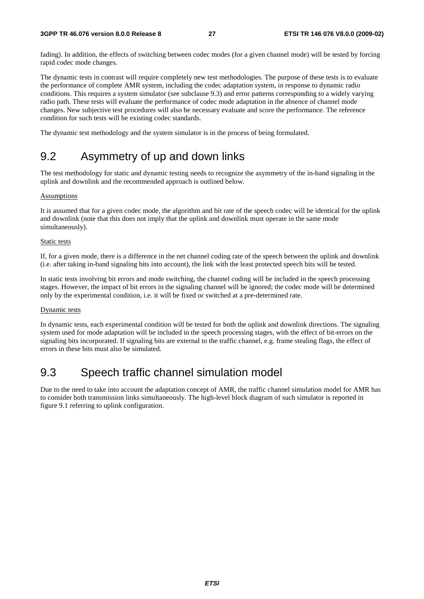#### **3GPP TR 46.076 version 8.0.0 Release 8 27 ETSI TR 146 076 V8.0.0 (2009-02)**

fading). In addition, the effects of switching between codec modes (for a given channel mode) will be tested by forcing rapid codec mode changes.

The dynamic tests in contrast will require completely new test methodologies. The purpose of these tests is to evaluate the performance of complete AMR system, including the codec adaptation system, in response to dynamic radio conditions. This requires a system simulator (see subclause 9.3) and error patterns corresponding to a widely varying radio path. These tests will evaluate the performance of codec mode adaptation in the absence of channel mode changes. New subjective test procedures will also be necessary evaluate and score the performance. The reference condition for such tests will be existing codec standards.

The dynamic test methodology and the system simulator is in the process of being formulated.

## 9.2 Asymmetry of up and down links

The test methodology for static and dynamic testing needs to recognize the asymmetry of the in-band signaling in the uplink and downlink and the recommended approach is outlined below.

#### **Assumptions**

It is assumed that for a given codec mode, the algorithm and bit rate of the speech codec will be identical for the uplink and downlink (note that this does not imply that the uplink and downlink must operate in the same mode simultaneously).

#### Static tests

If, for a given mode, there is a difference in the net channel coding rate of the speech between the uplink and downlink (i.e. after taking in-band signaling bits into account), the link with the least protected speech bits will be tested.

In static tests involving bit errors and mode switching, the channel coding will be included in the speech processing stages. However, the impact of bit errors in the signaling channel will be ignored; the codec mode will be determined only by the experimental condition, i.e. it will be fixed or switched at a pre-determined rate.

#### Dynamic tests

In dynamic tests, each experimental condition will be tested for both the uplink and downlink directions. The signaling system used for mode adaptation will be included in the speech processing stages, with the effect of bit-errors on the signaling bits incorporated. If signaling bits are external to the traffic channel, e.g. frame stealing flags, the effect of errors in these bits must also be simulated.

## 9.3 Speech traffic channel simulation model

Due to the need to take into account the adaptation concept of AMR, the traffic channel simulation model for AMR has to consider both transmission links simultaneously. The high-level block diagram of such simulator is reported in figure 9.1 referring to uplink configuration.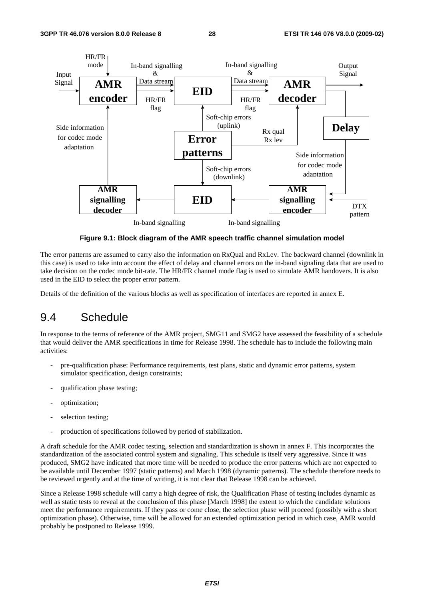

**Figure 9.1: Block diagram of the AMR speech traffic channel simulation model** 

The error patterns are assumed to carry also the information on RxQual and RxLev. The backward channel (downlink in this case) is used to take into account the effect of delay and channel errors on the in-band signaling data that are used to take decision on the codec mode bit-rate. The HR/FR channel mode flag is used to simulate AMR handovers. It is also used in the EID to select the proper error pattern.

Details of the definition of the various blocks as well as specification of interfaces are reported in annex E.

## 9.4 Schedule

In response to the terms of reference of the AMR project, SMG11 and SMG2 have assessed the feasibility of a schedule that would deliver the AMR specifications in time for Release 1998. The schedule has to include the following main activities:

- pre-qualification phase: Performance requirements, test plans, static and dynamic error patterns, system simulator specification, design constraints;
- qualification phase testing;
- optimization;
- selection testing;
- production of specifications followed by period of stabilization.

A draft schedule for the AMR codec testing, selection and standardization is shown in annex F. This incorporates the standardization of the associated control system and signaling. This schedule is itself very aggressive. Since it was produced, SMG2 have indicated that more time will be needed to produce the error patterns which are not expected to be available until December 1997 (static patterns) and March 1998 (dynamic patterns). The schedule therefore needs to be reviewed urgently and at the time of writing, it is not clear that Release 1998 can be achieved.

Since a Release 1998 schedule will carry a high degree of risk, the Qualification Phase of testing includes dynamic as well as static tests to reveal at the conclusion of this phase [March 1998] the extent to which the candidate solutions meet the performance requirements. If they pass or come close, the selection phase will proceed (possibly with a short optimization phase). Otherwise, time will be allowed for an extended optimization period in which case, AMR would probably be postponed to Release 1999.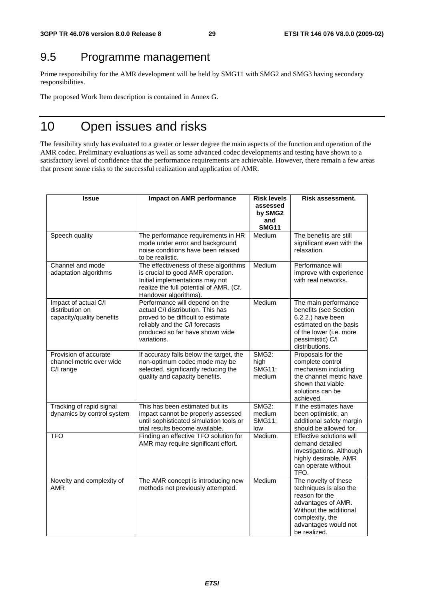## 9.5 Programme management

Prime responsibility for the AMR development will be held by SMG11 with SMG2 and SMG3 having secondary responsibilities.

The proposed Work Item description is contained in Annex G.

## 10 Open issues and risks

The feasibility study has evaluated to a greater or lesser degree the main aspects of the function and operation of the AMR codec. Preliminary evaluations as well as some advanced codec developments and testing have shown to a satisfactory level of confidence that the performance requirements are achievable. However, there remain a few areas that present some risks to the successful realization and application of AMR.

| <b>Issue</b>                                                         | Impact on AMR performance                                                                                                                                                                     | <b>Risk levels</b><br>assessed<br>by SMG2<br>and<br><b>SMG11</b> | Risk assessment.                                                                                                                                                            |
|----------------------------------------------------------------------|-----------------------------------------------------------------------------------------------------------------------------------------------------------------------------------------------|------------------------------------------------------------------|-----------------------------------------------------------------------------------------------------------------------------------------------------------------------------|
| Speech quality                                                       | The performance requirements in HR<br>mode under error and background<br>noise conditions have been relaxed<br>to be realistic.                                                               | Medium                                                           | The benefits are still<br>significant even with the<br>relaxation.                                                                                                          |
| Channel and mode<br>adaptation algorithms                            | The effectiveness of these algorithms<br>is crucial to good AMR operation.<br>Initial implementations may not<br>realize the full potential of AMR. (Cf.<br>Handover algorithms).             | Medium                                                           | Performance will<br>improve with experience<br>with real networks.                                                                                                          |
| Impact of actual C/I<br>distribution on<br>capacity/quality benefits | Performance will depend on the<br>actual C/I distribution. This has<br>proved to be difficult to estimate<br>reliably and the C/I forecasts<br>produced so far have shown wide<br>variations. | Medium                                                           | The main performance<br>benefits (see Section<br>6.2.2.) have been<br>estimated on the basis<br>of the lower (i.e. more<br>pessimistic) C/I<br>distributions.               |
| Provision of accurate<br>channel metric over wide<br>C/I range       | If accuracy falls below the target, the<br>non-optimum codec mode may be<br>selected, significantly reducing the<br>quality and capacity benefits.                                            | <b>SMG2:</b><br>high<br><b>SMG11:</b><br>medium                  | Proposals for the<br>complete control<br>mechanism including<br>the channel metric have<br>shown that viable<br>solutions can be<br>achieved.                               |
| Tracking of rapid signal<br>dynamics by control system               | This has been estimated but its<br>impact cannot be properly assessed<br>until sophisticated simulation tools or<br>trial results become available.                                           | <b>SMG2:</b><br>medium<br><b>SMG11:</b><br>low                   | If the estimates have<br>been optimistic, an<br>additional safety margin<br>should be allowed for.                                                                          |
| <b>TFO</b>                                                           | Finding an effective TFO solution for<br>AMR may require significant effort.                                                                                                                  | Medium.                                                          | Effective solutions will<br>demand detailed<br>investigations. Although<br>highly desirable, AMR<br>can operate without<br>TFO.                                             |
| Novelty and complexity of<br>AMR                                     | The AMR concept is introducing new<br>methods not previously attempted.                                                                                                                       | Medium                                                           | The novelty of these<br>techniques is also the<br>reason for the<br>advantages of AMR.<br>Without the additional<br>complexity, the<br>advantages would not<br>be realized. |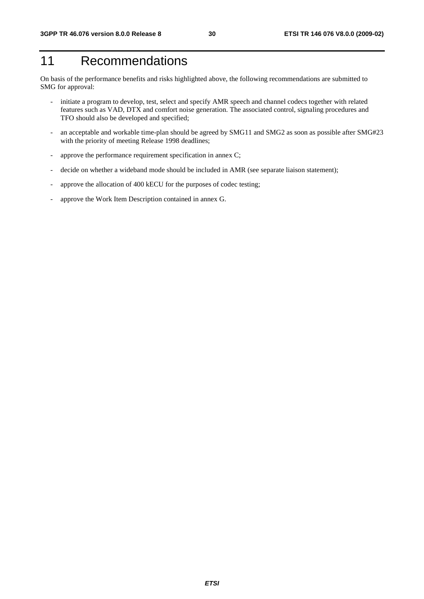## 11 Recommendations

On basis of the performance benefits and risks highlighted above, the following recommendations are submitted to SMG for approval:

- initiate a program to develop, test, select and specify AMR speech and channel codecs together with related features such as VAD, DTX and comfort noise generation. The associated control, signaling procedures and TFO should also be developed and specified;
- an acceptable and workable time-plan should be agreed by SMG11 and SMG2 as soon as possible after SMG#23 with the priority of meeting Release 1998 deadlines;
- approve the performance requirement specification in annex C;
- decide on whether a wideband mode should be included in AMR (see separate liaison statement);
- approve the allocation of 400 kECU for the purposes of codec testing;
- approve the Work Item Description contained in annex G.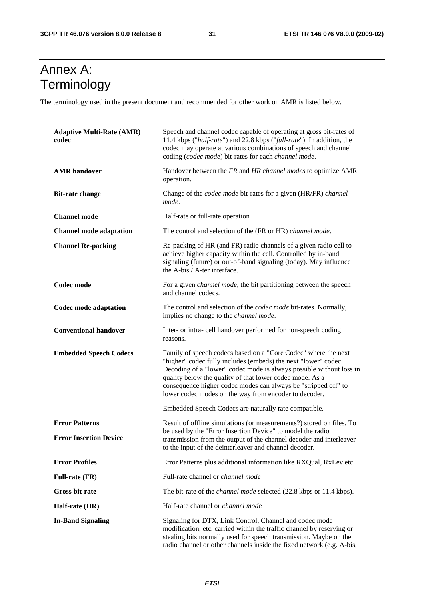## Annex A: **Terminology**

The terminology used in the present document and recommended for other work on AMR is listed below.

| <b>Adaptive Multi-Rate (AMR)</b><br>codec | Speech and channel codec capable of operating at gross bit-rates of<br>11.4 kbps ("half-rate") and 22.8 kbps ("full-rate"). In addition, the<br>codec may operate at various combinations of speech and channel<br>coding (codec mode) bit-rates for each channel mode.                                                                                                                        |  |
|-------------------------------------------|------------------------------------------------------------------------------------------------------------------------------------------------------------------------------------------------------------------------------------------------------------------------------------------------------------------------------------------------------------------------------------------------|--|
| <b>AMR</b> handover                       | Handover between the FR and HR channel modes to optimize AMR<br>operation.                                                                                                                                                                                                                                                                                                                     |  |
| <b>Bit-rate change</b>                    | Change of the <i>codec mode</i> bit-rates for a given (HR/FR) <i>channel</i><br>mode.                                                                                                                                                                                                                                                                                                          |  |
| <b>Channel mode</b>                       | Half-rate or full-rate operation                                                                                                                                                                                                                                                                                                                                                               |  |
| <b>Channel mode adaptation</b>            | The control and selection of the (FR or HR) channel mode.                                                                                                                                                                                                                                                                                                                                      |  |
| <b>Channel Re-packing</b>                 | Re-packing of HR (and FR) radio channels of a given radio cell to<br>achieve higher capacity within the cell. Controlled by in-band<br>signaling (future) or out-of-band signaling (today). May influence<br>the A-bis / A-ter interface.                                                                                                                                                      |  |
| Codec mode                                | For a given <i>channel mode</i> , the bit partitioning between the speech<br>and channel codecs.                                                                                                                                                                                                                                                                                               |  |
| Codec mode adaptation                     | The control and selection of the <i>codec mode</i> bit-rates. Normally,<br>implies no change to the <i>channel mode</i> .                                                                                                                                                                                                                                                                      |  |
| <b>Conventional handover</b>              | Inter- or intra- cell handover performed for non-speech coding<br>reasons.                                                                                                                                                                                                                                                                                                                     |  |
| <b>Embedded Speech Codecs</b>             | Family of speech codecs based on a "Core Codec" where the next<br>"higher" codec fully includes (embeds) the next "lower" codec.<br>Decoding of a "lower" codec mode is always possible without loss in<br>quality below the quality of that lower codec mode. As a<br>consequence higher codec modes can always be "stripped off" to<br>lower codec modes on the way from encoder to decoder. |  |
|                                           | Embedded Speech Codecs are naturally rate compatible.                                                                                                                                                                                                                                                                                                                                          |  |
| <b>Error Patterns</b>                     | Result of offline simulations (or measurements?) stored on files. To<br>be used by the "Error Insertion Device" to model the radio<br>transmission from the output of the channel decoder and interleaver<br>to the input of the deinterleaver and channel decoder.                                                                                                                            |  |
| <b>Error Insertion Device</b>             |                                                                                                                                                                                                                                                                                                                                                                                                |  |
| <b>Error Profiles</b>                     | Error Patterns plus additional information like RXQual, RxLev etc.                                                                                                                                                                                                                                                                                                                             |  |
| <b>Full-rate (FR)</b>                     | Full-rate channel or channel mode                                                                                                                                                                                                                                                                                                                                                              |  |
| Gross bit-rate                            | The bit-rate of the <i>channel mode</i> selected (22.8 kbps or 11.4 kbps).                                                                                                                                                                                                                                                                                                                     |  |
| Half-rate (HR)                            | Half-rate channel or <i>channel mode</i>                                                                                                                                                                                                                                                                                                                                                       |  |
| <b>In-Band Signaling</b>                  | Signaling for DTX, Link Control, Channel and codec mode<br>modification, etc. carried within the traffic channel by reserving or<br>stealing bits normally used for speech transmission. Maybe on the<br>radio channel or other channels inside the fixed network (e.g. A-bis,                                                                                                                 |  |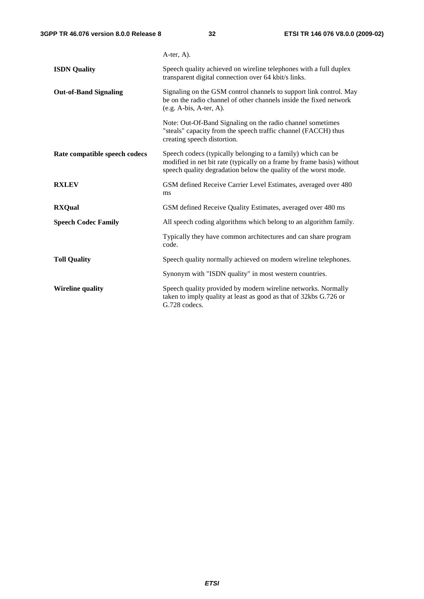|                               | A-ter, A).                                                                                                                                                                                                |
|-------------------------------|-----------------------------------------------------------------------------------------------------------------------------------------------------------------------------------------------------------|
| <b>ISDN</b> Quality           | Speech quality achieved on wireline telephones with a full duplex<br>transparent digital connection over 64 kbit/s links.                                                                                 |
| <b>Out-of-Band Signaling</b>  | Signaling on the GSM control channels to support link control. May<br>be on the radio channel of other channels inside the fixed network<br>$(e.g. A-bis, A-ter, A).$                                     |
|                               | Note: Out-Of-Band Signaling on the radio channel sometimes<br>"steals" capacity from the speech traffic channel (FACCH) thus<br>creating speech distortion.                                               |
| Rate compatible speech codecs | Speech codecs (typically belonging to a family) which can be<br>modified in net bit rate (typically on a frame by frame basis) without<br>speech quality degradation below the quality of the worst mode. |
| <b>RXLEV</b>                  | GSM defined Receive Carrier Level Estimates, averaged over 480<br>ms                                                                                                                                      |
| <b>RXQual</b>                 | GSM defined Receive Quality Estimates, averaged over 480 ms                                                                                                                                               |
| <b>Speech Codec Family</b>    | All speech coding algorithms which belong to an algorithm family.                                                                                                                                         |
|                               | Typically they have common architectures and can share program<br>code.                                                                                                                                   |
| <b>Toll Quality</b>           | Speech quality normally achieved on modern wireline telephones.                                                                                                                                           |
|                               | Synonym with "ISDN quality" in most western countries.                                                                                                                                                    |
| <b>Wireline quality</b>       | Speech quality provided by modern wireline networks. Normally<br>taken to imply quality at least as good as that of 32kbs G.726 or<br>G.728 codecs.                                                       |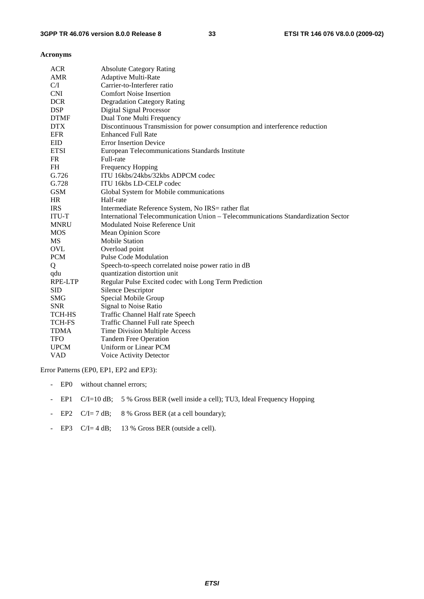#### **Acronyms**

| <b>ACR</b>    | <b>Absolute Category Rating</b>                                                   |
|---------------|-----------------------------------------------------------------------------------|
| AMR           | <b>Adaptive Multi-Rate</b>                                                        |
| C/I           | Carrier-to-Interferer ratio                                                       |
| <b>CNI</b>    | <b>Comfort Noise Insertion</b>                                                    |
| <b>DCR</b>    | <b>Degradation Category Rating</b>                                                |
| <b>DSP</b>    | <b>Digital Signal Processor</b>                                                   |
| <b>DTMF</b>   | Dual Tone Multi Frequency                                                         |
| <b>DTX</b>    | Discontinuous Transmission for power consumption and interference reduction       |
| <b>EFR</b>    | <b>Enhanced Full Rate</b>                                                         |
| <b>EID</b>    | <b>Error Insertion Device</b>                                                     |
| <b>ETSI</b>   | European Telecommunications Standards Institute                                   |
| FR            | Full-rate                                                                         |
| <b>FH</b>     | <b>Frequency Hopping</b>                                                          |
| G.726         | ITU 16kbs/24kbs/32kbs ADPCM codec                                                 |
| G.728         | ITU 16kbs LD-CELP codec                                                           |
| <b>GSM</b>    | Global System for Mobile communications                                           |
| HR            | Half-rate                                                                         |
| <b>IRS</b>    | Intermediate Reference System, No IRS= rather flat                                |
| <b>ITU-T</b>  | International Telecommunication Union – Telecommunications Standardization Sector |
| <b>MNRU</b>   | Modulated Noise Reference Unit                                                    |
| <b>MOS</b>    | Mean Opinion Score                                                                |
| MS            | <b>Mobile Station</b>                                                             |
| <b>OVL</b>    | Overload point                                                                    |
| <b>PCM</b>    | <b>Pulse Code Modulation</b>                                                      |
| Q             | Speech-to-speech correlated noise power ratio in dB                               |
| qdu           | quantization distortion unit                                                      |
| RPE-LTP       | Regular Pulse Excited codec with Long Term Prediction                             |
| <b>SID</b>    | <b>Silence Descriptor</b>                                                         |
| <b>SMG</b>    | Special Mobile Group                                                              |
| <b>SNR</b>    | Signal to Noise Ratio                                                             |
| <b>TCH-HS</b> | Traffic Channel Half rate Speech                                                  |
| <b>TCH-FS</b> | Traffic Channel Full rate Speech                                                  |
| <b>TDMA</b>   | Time Division Multiple Access                                                     |
| <b>TFO</b>    | <b>Tandem Free Operation</b>                                                      |
| <b>UPCM</b>   | Uniform or Linear PCM                                                             |
| <b>VAD</b>    |                                                                                   |

Error Patterns (EP0, EP1, EP2 and EP3):

- EP0 without channel errors;
- EP1 C/I=10 dB; 5 % Gross BER (well inside a cell); TU3, Ideal Frequency Hopping
- EP2 C/I= 7 dB; 8 % Gross BER (at a cell boundary);
- EP3 C/I= 4 dB; 13 % Gross BER (outside a cell).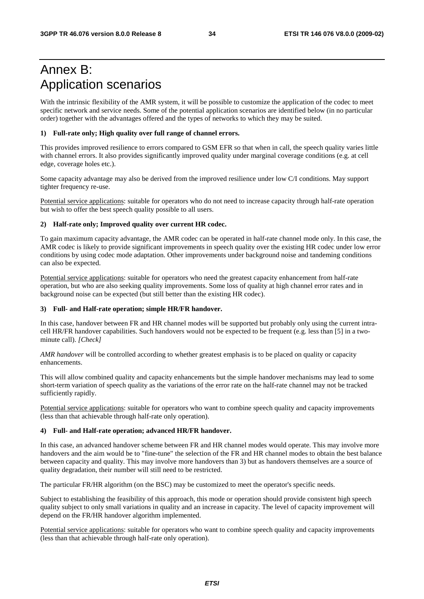## Annex B: Application scenarios

With the intrinsic flexibility of the AMR system, it will be possible to customize the application of the codec to meet specific network and service needs. Some of the potential application scenarios are identified below (in no particular order) together with the advantages offered and the types of networks to which they may be suited.

#### **1) Full-rate only; High quality over full range of channel errors.**

This provides improved resilience to errors compared to GSM EFR so that when in call, the speech quality varies little with channel errors. It also provides significantly improved quality under marginal coverage conditions (e.g. at cell edge, coverage holes etc.).

Some capacity advantage may also be derived from the improved resilience under low C/I conditions. May support tighter frequency re-use.

Potential service applications: suitable for operators who do not need to increase capacity through half-rate operation but wish to offer the best speech quality possible to all users.

#### **2) Half-rate only; Improved quality over current HR codec.**

To gain maximum capacity advantage, the AMR codec can be operated in half-rate channel mode only. In this case, the AMR codec is likely to provide significant improvements in speech quality over the existing HR codec under low error conditions by using codec mode adaptation. Other improvements under background noise and tandeming conditions can also be expected.

Potential service applications: suitable for operators who need the greatest capacity enhancement from half-rate operation, but who are also seeking quality improvements. Some loss of quality at high channel error rates and in background noise can be expected (but still better than the existing HR codec).

#### **3) Full- and Half-rate operation; simple HR/FR handover.**

In this case, handover between FR and HR channel modes will be supported but probably only using the current intracell HR/FR handover capabilities. Such handovers would not be expected to be frequent (e.g. less than [5] in a twominute call). *[Check]* 

*AMR handover* will be controlled according to whether greatest emphasis is to be placed on quality or capacity enhancements.

This will allow combined quality and capacity enhancements but the simple handover mechanisms may lead to some short-term variation of speech quality as the variations of the error rate on the half-rate channel may not be tracked sufficiently rapidly.

Potential service applications: suitable for operators who want to combine speech quality and capacity improvements (less than that achievable through half-rate only operation).

#### **4) Full- and Half-rate operation; advanced HR/FR handover.**

In this case, an advanced handover scheme between FR and HR channel modes would operate. This may involve more handovers and the aim would be to "fine-tune" the selection of the FR and HR channel modes to obtain the best balance between capacity and quality. This may involve more handovers than 3) but as handovers themselves are a source of quality degradation, their number will still need to be restricted.

The particular FR/HR algorithm (on the BSC) may be customized to meet the operator's specific needs.

Subject to establishing the feasibility of this approach, this mode or operation should provide consistent high speech quality subject to only small variations in quality and an increase in capacity. The level of capacity improvement will depend on the FR/HR handover algorithm implemented.

Potential service applications: suitable for operators who want to combine speech quality and capacity improvements (less than that achievable through half-rate only operation).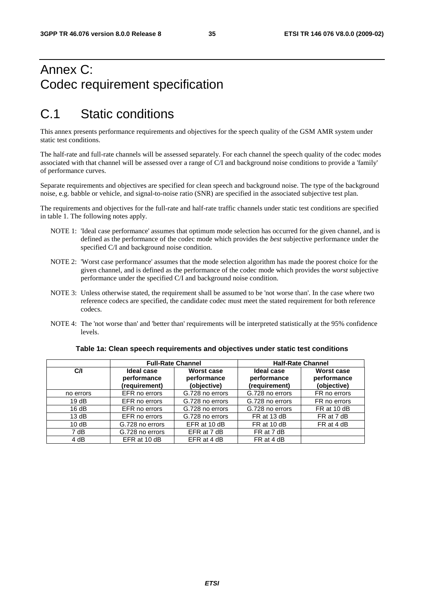## Annex C: Codec requirement specification

## C.1 Static conditions

This annex presents performance requirements and objectives for the speech quality of the GSM AMR system under static test conditions.

The half-rate and full-rate channels will be assessed separately. For each channel the speech quality of the codec modes associated with that channel will be assessed over a range of C/I and background noise conditions to provide a 'family' of performance curves.

Separate requirements and objectives are specified for clean speech and background noise. The type of the background noise, e.g. babble or vehicle, and signal-to-noise ratio (SNR) are specified in the associated subjective test plan.

The requirements and objectives for the full-rate and half-rate traffic channels under static test conditions are specified in table 1. The following notes apply.

- NOTE 1: 'Ideal case performance' assumes that optimum mode selection has occurred for the given channel, and is defined as the performance of the codec mode which provides the *best* subjective performance under the specified C/I and background noise condition.
- NOTE 2: 'Worst case performance' assumes that the mode selection algorithm has made the poorest choice for the given channel, and is defined as the performance of the codec mode which provides the *worst* subjective performance under the specified C/I and background noise condition.
- NOTE 3: Unless otherwise stated, the requirement shall be assumed to be 'not worse than'. In the case where two reference codecs are specified, the candidate codec must meet the stated requirement for both reference codecs.
- NOTE 4: The 'not worse than' and 'better than' requirements will be interpreted statistically at the 95% confidence levels.

|           | <b>Full-Rate Channel</b>                          |                                          | <b>Half-Rate Channel</b>                   |                                          |
|-----------|---------------------------------------------------|------------------------------------------|--------------------------------------------|------------------------------------------|
| C/I       | <b>Ideal case</b><br>performance<br>(requirement) | Worst case<br>performance<br>(objective) | Ideal case<br>performance<br>(requirement) | Worst case<br>performance<br>(objective) |
| no errors | EFR no errors                                     | G.728 no errors                          | G.728 no errors                            | FR no errors                             |
| 19dB      | EFR no errors                                     | G.728 no errors                          | G.728 no errors                            | FR no errors                             |
| 16dB      | EFR no errors                                     | G.728 no errors                          | G.728 no errors                            | FR at 10 dB                              |
| 13 dB     | EFR no errors                                     | G.728 no errors                          | FR at 13 dB                                | FR at 7 dB                               |
| 10dB      | G.728 no errors                                   | EFR at 10 dB                             | FR at 10 dB                                | FR at 4 dB                               |
| 7 dB      | G.728 no errors                                   | EFR at 7 dB                              | FR at 7 dB                                 |                                          |
| 4 dB      | EFR at 10 dB                                      | EFR at 4 dB                              | FR at 4 dB                                 |                                          |

#### **Table 1a: Clean speech requirements and objectives under static test conditions**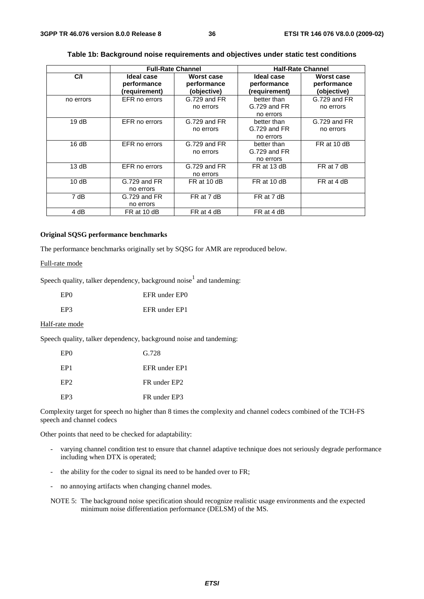|           | <b>Full-Rate Channel</b>                   |                                          | <b>Half-Rate Channel</b>                     |                                          |
|-----------|--------------------------------------------|------------------------------------------|----------------------------------------------|------------------------------------------|
| C/I       | Ideal case<br>performance<br>(requirement) | Worst case<br>performance<br>(objective) | Ideal case<br>performance<br>(requirement)   | Worst case<br>performance<br>(objective) |
| no errors | EFR no errors                              | G.729 and FR<br>no errors                | better than<br>G.729 and FR<br>no errors     | G.729 and FR<br>no errors                |
| 19dB      | EFR no errors                              | G.729 and FR<br>no errors                | better than<br>G.729 and FR<br>no errors     | G.729 and FR<br>no errors                |
| 16dB      | EFR no errors                              | G.729 and FR<br>no errors                | better than<br>$G.729$ and $FR$<br>no errors | FR at 10 dB                              |
| 13 dB     | EFR no errors                              | G.729 and FR<br>no errors                | FR at 13 dB                                  | FR at 7 dB                               |
| 10dB      | G.729 and FR<br>no errors                  | FR at 10 dB                              | FR at 10 dB                                  | FR at 4 dB                               |
| 7 dB      | $G.729$ and $FR$<br>no errors              | FR at 7 dB                               | FR at 7 dB                                   |                                          |
| 4 dB      | FR at 10 dB                                | FR at 4 dB                               | FR at 4 dB                                   |                                          |

#### **Table 1b: Background noise requirements and objectives under static test conditions**

#### **Original SQSG performance benchmarks**

The performance benchmarks originally set by SQSG for AMR are reproduced below.

#### Full-rate mode

Speech quality, talker dependency, background noise $<sup>1</sup>$  and tandeming:</sup>

| EP <sub>0</sub> | EFR under EPO |
|-----------------|---------------|
| EP3             | EFR under EP1 |

#### Half-rate mode

Speech quality, talker dependency, background noise and tandeming:

| EP <sub>0</sub> | G.728                    |
|-----------------|--------------------------|
| EP <sub>1</sub> | EFR under EP1            |
| EP <sub>2</sub> | FR under EP <sub>2</sub> |
| EP3             | FR under EP3             |

Complexity target for speech no higher than 8 times the complexity and channel codecs combined of the TCH-FS speech and channel codecs

Other points that need to be checked for adaptability:

- varying channel condition test to ensure that channel adaptive technique does not seriously degrade performance including when DTX is operated;
- the ability for the coder to signal its need to be handed over to FR;
- no annoying artifacts when changing channel modes.

NOTE 5: The background noise specification should recognize realistic usage environments and the expected minimum noise differentiation performance (DELSM) of the MS.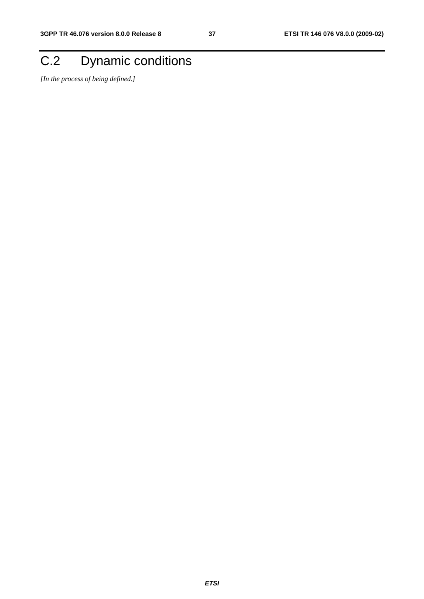## C.2 Dynamic conditions

*[In the process of being defined.]*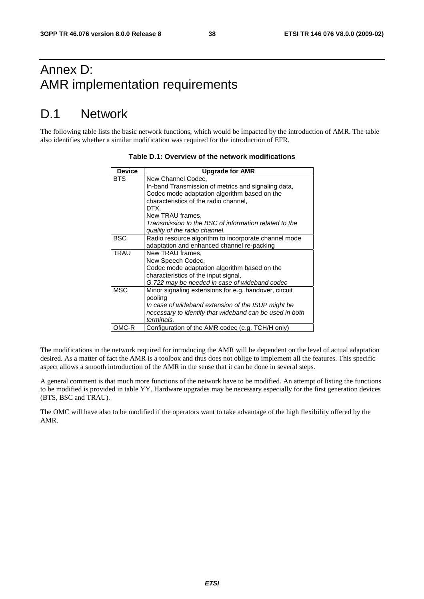## Annex D: AMR implementation requirements

## D.1 Network

The following table lists the basic network functions, which would be impacted by the introduction of AMR. The table also identifies whether a similar modification was required for the introduction of EFR.

| <b>Device</b> | <b>Upgrade for AMR</b>                                  |
|---------------|---------------------------------------------------------|
| <b>BTS</b>    | New Channel Codec,                                      |
|               | In-band Transmission of metrics and signaling data,     |
|               | Codec mode adaptation algorithm based on the            |
|               | characteristics of the radio channel,                   |
|               | DTX.                                                    |
|               | New TRAU frames,                                        |
|               | Transmission to the BSC of information related to the   |
|               | quality of the radio channel.                           |
| <b>BSC</b>    | Radio resource algorithm to incorporate channel mode    |
|               | adaptation and enhanced channel re-packing              |
| <b>TRAU</b>   | New TRAU frames,                                        |
|               | New Speech Codec,                                       |
|               | Codec mode adaptation algorithm based on the            |
|               | characteristics of the input signal,                    |
|               | G.722 may be needed in case of wideband codec           |
| <b>MSC</b>    | Minor signaling extensions for e.g. handover, circuit   |
|               | pooling                                                 |
|               | In case of wideband extension of the ISUP might be      |
|               | necessary to identify that wideband can be used in both |
|               | terminals.                                              |
| OMC-R         | Configuration of the AMR codec (e.g. TCH/H only)        |

#### **Table D.1: Overview of the network modifications**

The modifications in the network required for introducing the AMR will be dependent on the level of actual adaptation desired. As a matter of fact the AMR is a toolbox and thus does not oblige to implement all the features. This specific aspect allows a smooth introduction of the AMR in the sense that it can be done in several steps.

A general comment is that much more functions of the network have to be modified. An attempt of listing the functions to be modified is provided in table YY. Hardware upgrades may be necessary especially for the first generation devices (BTS, BSC and TRAU).

The OMC will have also to be modified if the operators want to take advantage of the high flexibility offered by the AMR.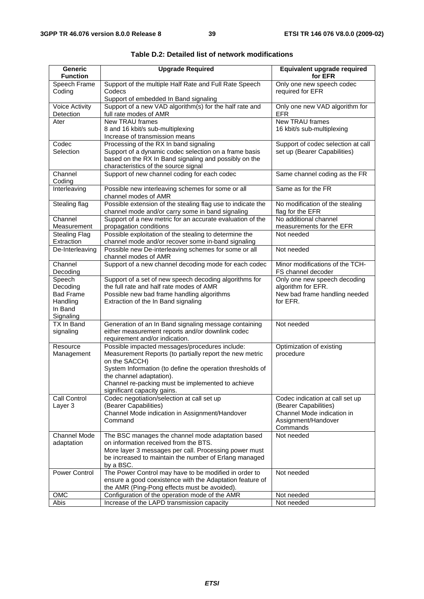| <b>Generic</b><br><b>Function</b>                                          | <b>Upgrade Required</b>                                                                                                                                                                                                                                                                                 | Equivalent upgrade required<br>for EFR                                                                                    |
|----------------------------------------------------------------------------|---------------------------------------------------------------------------------------------------------------------------------------------------------------------------------------------------------------------------------------------------------------------------------------------------------|---------------------------------------------------------------------------------------------------------------------------|
| Speech Frame<br>Coding                                                     | Support of the multiple Half Rate and Full Rate Speech<br>Codecs<br>Support of embedded In Band signaling                                                                                                                                                                                               | Only one new speech codec<br>required for EFR                                                                             |
| <b>Voice Activity</b><br>Detection                                         | Support of a new VAD algorithm(s) for the half rate and<br>full rate modes of AMR                                                                                                                                                                                                                       | Only one new VAD algorithm for<br><b>EFR</b>                                                                              |
| Ater                                                                       | <b>New TRAU frames</b><br>8 and 16 kbit/s sub-multiplexing<br>Increase of transmission means                                                                                                                                                                                                            | New TRAU frames<br>16 kbit/s sub-multiplexing                                                                             |
| Codec<br>Selection                                                         | Processing of the RX In band signaling<br>Support of a dynamic codec selection on a frame basis<br>based on the RX In Band signaling and possibly on the<br>characteristics of the source signal                                                                                                        | Support of codec selection at call<br>set up (Bearer Capabilities)                                                        |
| Channel<br>Coding                                                          | Support of new channel coding for each codec                                                                                                                                                                                                                                                            | Same channel coding as the FR                                                                                             |
| Interleaving                                                               | Possible new interleaving schemes for some or all<br>channel modes of AMR                                                                                                                                                                                                                               | Same as for the FR                                                                                                        |
| Stealing flag                                                              | Possible extension of the stealing flag use to indicate the<br>channel mode and/or carry some in band signaling                                                                                                                                                                                         | No modification of the stealing<br>flag for the EFR                                                                       |
| Channel<br>Measurement                                                     | Support of a new metric for an accurate evaluation of the<br>propagation conditions                                                                                                                                                                                                                     | No additional channel<br>measurements for the EFR                                                                         |
| <b>Stealing Flag</b><br>Extraction                                         | Possible exploitation of the stealing to determine the<br>channel mode and/or recover some in-band signaling                                                                                                                                                                                            | Not needed                                                                                                                |
| De-Interleaving                                                            | Possible new De-interleaving schemes for some or all<br>channel modes of AMR                                                                                                                                                                                                                            | Not needed                                                                                                                |
| Channel<br>Decoding                                                        | Support of a new channel decoding mode for each codec                                                                                                                                                                                                                                                   | Minor modifications of the TCH-<br>FS channel decoder                                                                     |
| Speech<br>Decoding<br><b>Bad Frame</b><br>Handling<br>In Band<br>Signaling | Support of a set of new speech decoding algorithms for<br>the full rate and half rate modes of AMR<br>Possible new bad frame handling algorithms<br>Extraction of the In Band signaling                                                                                                                 | Only one new speech decoding<br>algorithm for EFR.<br>New bad frame handling needed<br>for EFR.                           |
| TX In Band<br>signaling                                                    | Generation of an In Band signaling message containing<br>either measurement reports and/or downlink codec<br>requirement and/or indication.                                                                                                                                                             | Not needed                                                                                                                |
| Resource<br>Management                                                     | Possible impacted messages/procedures include:<br>Measurement Reports (to partially report the new metric<br>on the SACCH)<br>System Information (to define the operation thresholds of<br>the channel adaptation).<br>Channel re-packing must be implemented to achieve<br>significant capacity gains. | Optimization of existing<br>procedure                                                                                     |
| Call Control<br>Layer 3                                                    | Codec negotiation/selection at call set up<br>(Bearer Capabilities)<br>Channel Mode indication in Assignment/Handover<br>Command                                                                                                                                                                        | Codec indication at call set up<br>(Bearer Capabilities)<br>Channel Mode indication in<br>Assignment/Handover<br>Commands |
| <b>Channel Mode</b><br>adaptation                                          | The BSC manages the channel mode adaptation based<br>on information received from the BTS.<br>More layer 3 messages per call. Processing power must<br>be increased to maintain the number of Erlang managed<br>by a BSC.                                                                               | Not needed                                                                                                                |
| Power Control                                                              | The Power Control may have to be modified in order to<br>ensure a good coexistence with the Adaptation feature of<br>the AMR (Ping-Pong effects must be avoided).                                                                                                                                       | Not needed                                                                                                                |
| OMC                                                                        | Configuration of the operation mode of the AMR                                                                                                                                                                                                                                                          | Not needed                                                                                                                |
| Abis                                                                       | Increase of the LAPD transmission capacity                                                                                                                                                                                                                                                              | Not needed                                                                                                                |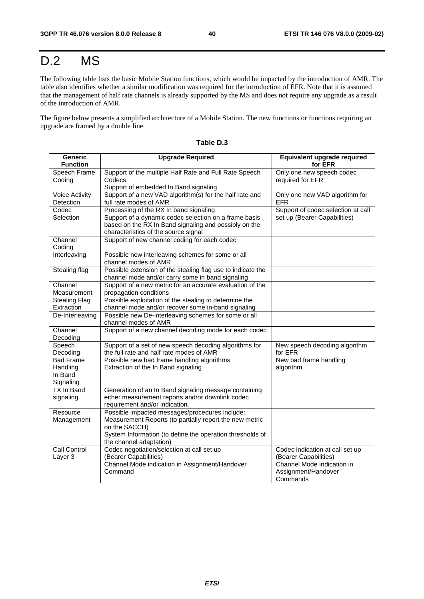## D.2 MS

The following table lists the basic Mobile Station functions, which would be impacted by the introduction of AMR. The table also identifies whether a similar modification was required for the introduction of EFR. Note that it is assumed that the management of half rate channels is already supported by the MS and does not require any upgrade as a result of the introduction of AMR.

The figure below presents a simplified architecture of a Mobile Station. The new functions or functions requiring an upgrade are framed by a double line.

| <b>Generic</b>        | <b>Upgrade Required</b>                                                              | Equivalent upgrade required                         |
|-----------------------|--------------------------------------------------------------------------------------|-----------------------------------------------------|
| <b>Function</b>       |                                                                                      | for EFR                                             |
| Speech Frame          | Support of the multiple Half Rate and Full Rate Speech                               | Only one new speech codec                           |
| Coding                | Codecs                                                                               | required for EFR                                    |
|                       | Support of embedded In Band signaling                                                |                                                     |
| <b>Voice Activity</b> | Support of a new VAD algorithm(s) for the half rate and                              | Only one new VAD algorithm for                      |
| Detection             | full rate modes of AMR                                                               | <b>EFR</b>                                          |
| Codec                 | Processing of the RX In band signaling                                               | Support of codec selection at call                  |
| Selection             | Support of a dynamic codec selection on a frame basis                                | set up (Bearer Capabilities)                        |
|                       | based on the RX In Band signaling and possibly on the                                |                                                     |
| Channel               | characteristics of the source signal<br>Support of new channel coding for each codec |                                                     |
| Coding                |                                                                                      |                                                     |
| Interleaving          | Possible new interleaving schemes for some or all                                    |                                                     |
|                       | channel modes of AMR                                                                 |                                                     |
| Stealing flag         | Possible extension of the stealing flag use to indicate the                          |                                                     |
|                       | channel mode and/or carry some in band signaling                                     |                                                     |
| Channel               | Support of a new metric for an accurate evaluation of the                            |                                                     |
| Measurement           | propagation conditions                                                               |                                                     |
| <b>Stealing Flag</b>  | Possible exploitation of the stealing to determine the                               |                                                     |
| Extraction            | channel mode and/or recover some in-band signaling                                   |                                                     |
| De-Interleaving       | Possible new De-interleaving schemes for some or all                                 |                                                     |
| Channel               | channel modes of AMR                                                                 |                                                     |
| Decoding              | Support of a new channel decoding mode for each codec                                |                                                     |
| Speech                | Support of a set of new speech decoding algorithms for                               | New speech decoding algorithm                       |
| Decoding              | the full rate and half rate modes of AMR                                             | for EFR                                             |
| <b>Bad Frame</b>      | Possible new bad frame handling algorithms                                           | New bad frame handling                              |
| Handling              | Extraction of the In Band signaling                                                  | algorithm                                           |
| In Band               |                                                                                      |                                                     |
| Signaling             |                                                                                      |                                                     |
| TX In Band            | Generation of an In Band signaling message containing                                |                                                     |
| signaling             | either measurement reports and/or downlink codec                                     |                                                     |
|                       | requirement and/or indication.                                                       |                                                     |
| Resource              | Possible impacted messages/procedures include:                                       |                                                     |
| Management            | Measurement Reports (to partially report the new metric                              |                                                     |
|                       | on the SACCH)                                                                        |                                                     |
|                       | System Information (to define the operation thresholds of                            |                                                     |
|                       | the channel adaptation)                                                              |                                                     |
| Call Control          | Codec negotiation/selection at call set up                                           | Codec indication at call set up                     |
| Layer 3               | (Bearer Capabilities)<br>Channel Mode indication in Assignment/Handover              | (Bearer Capabilities)<br>Channel Mode indication in |
|                       | Command                                                                              | Assignment/Handover                                 |
|                       |                                                                                      | Commands                                            |

| Table D. |
|----------|
|----------|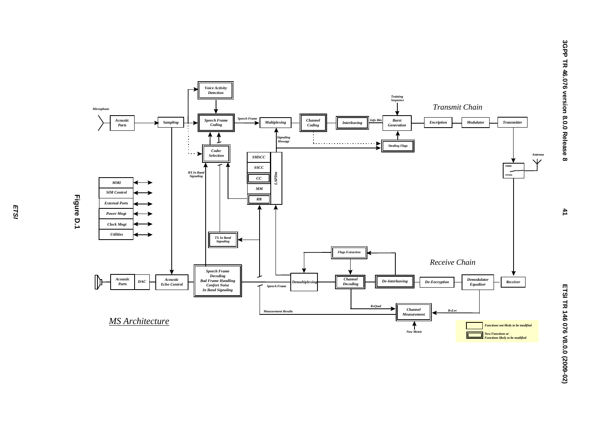

*ETSI*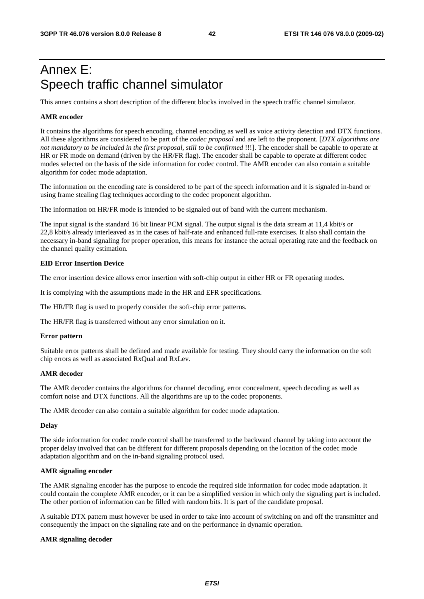## Annex E: Speech traffic channel simulator

This annex contains a short description of the different blocks involved in the speech traffic channel simulator.

#### **AMR encoder**

It contains the algorithms for speech encoding, channel encoding as well as voice activity detection and DTX functions. All these algorithms are considered to be part of the *codec proposal* and are left to the proponent. [*DTX algorithms are not mandatory to be included in the first proposal, still to be confirmed* !!!]. The encoder shall be capable to operate at HR or FR mode on demand (driven by the HR/FR flag). The encoder shall be capable to operate at different codec modes selected on the basis of the side information for codec control. The AMR encoder can also contain a suitable algorithm for codec mode adaptation.

The information on the encoding rate is considered to be part of the speech information and it is signaled in-band or using frame stealing flag techniques according to the codec proponent algorithm.

The information on HR/FR mode is intended to be signaled out of band with the current mechanism.

The input signal is the standard 16 bit linear PCM signal. The output signal is the data stream at 11,4 kbit/s or 22,8 kbit/s already interleaved as in the cases of half-rate and enhanced full-rate exercises. It also shall contain the necessary in-band signaling for proper operation, this means for instance the actual operating rate and the feedback on the channel quality estimation.

#### **EID Error Insertion Device**

The error insertion device allows error insertion with soft-chip output in either HR or FR operating modes.

It is complying with the assumptions made in the HR and EFR specifications.

The HR/FR flag is used to properly consider the soft-chip error patterns.

The HR/FR flag is transferred without any error simulation on it.

#### **Error pattern**

Suitable error patterns shall be defined and made available for testing. They should carry the information on the soft chip errors as well as associated RxQual and RxLev.

#### **AMR decoder**

The AMR decoder contains the algorithms for channel decoding, error concealment, speech decoding as well as comfort noise and DTX functions. All the algorithms are up to the codec proponents.

The AMR decoder can also contain a suitable algorithm for codec mode adaptation.

#### **Delay**

The side information for codec mode control shall be transferred to the backward channel by taking into account the proper delay involved that can be different for different proposals depending on the location of the codec mode adaptation algorithm and on the in-band signaling protocol used.

#### **AMR signaling encoder**

The AMR signaling encoder has the purpose to encode the required side information for codec mode adaptation. It could contain the complete AMR encoder, or it can be a simplified version in which only the signaling part is included. The other portion of information can be filled with random bits. It is part of the candidate proposal.

A suitable DTX pattern must however be used in order to take into account of switching on and off the transmitter and consequently the impact on the signaling rate and on the performance in dynamic operation.

#### **AMR signaling decoder**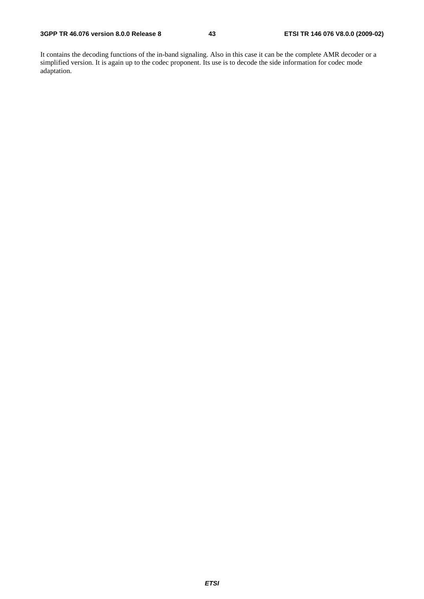It contains the decoding functions of the in-band signaling. Also in this case it can be the complete AMR decoder or a simplified version. It is again up to the codec proponent. Its use is to decode the side information for codec mode adaptation.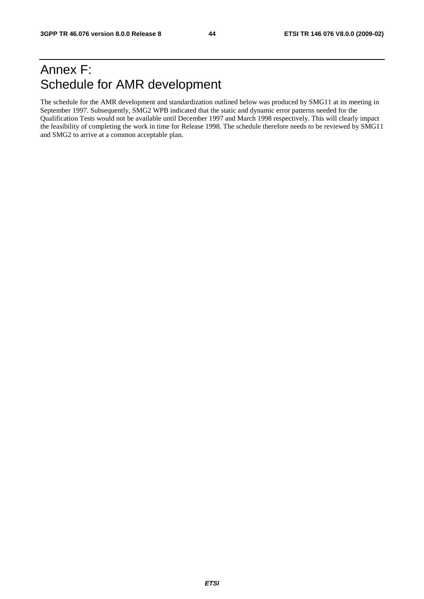## Annex F: Schedule for AMR development

The schedule for the AMR development and standardization outlined below was produced by SMG11 at its meeting in September 1997. Subsequently, SMG2 WPB indicated that the static and dynamic error patterns needed for the Qualification Tests would not be available until December 1997 and March 1998 respectively. This will clearly impact the feasibility of completing the work in time for Release 1998. The schedule therefore needs to be reviewed by SMG11 and SMG2 to arrive at a common acceptable plan.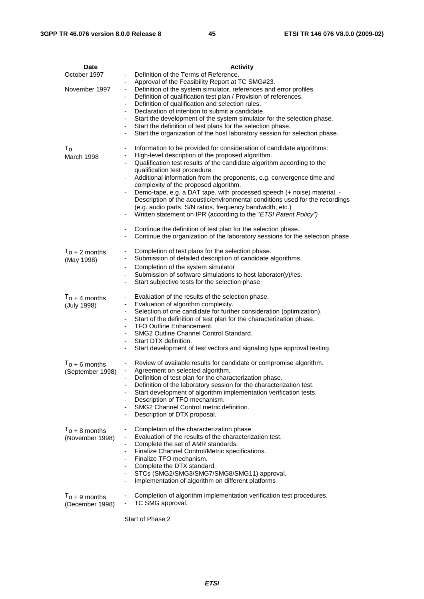| <b>Date</b>      | <b>Activity</b>                                                                                                                                   |
|------------------|---------------------------------------------------------------------------------------------------------------------------------------------------|
| October 1997     | Definition of the Terms of Reference.                                                                                                             |
| November 1997    | Approval of the Feasibility Report at TC SMG#23.<br>$\frac{1}{2}$<br>Definition of the system simulator, references and error profiles.           |
|                  | Definition of qualification test plan / Provision of references.                                                                                  |
|                  | Definition of qualification and selection rules.<br>$\overline{\phantom{a}}$                                                                      |
|                  | Declaration of intention to submit a candidate.<br>-                                                                                              |
|                  | Start the development of the system simulator for the selection phase.                                                                            |
|                  | Start the definition of test plans for the selection phase.<br>Start the organization of the host laboratory session for selection phase.<br>-    |
|                  |                                                                                                                                                   |
| $T_{\rm o}$      | Information to be provided for consideration of candidate algorithms:                                                                             |
| March 1998       | High-level description of the proposed algorithm.<br>-                                                                                            |
|                  | Qualification test results of the candidate algorithm according to the<br>qualification test procedure.                                           |
|                  | Additional information from the proponents, e.g. convergence time and                                                                             |
|                  | complexity of the proposed algorithm.                                                                                                             |
|                  | Demo-tape, e.g. a DAT tape, with processed speech (+ noise) material. -                                                                           |
|                  | Description of the acoustic/environmental conditions used for the recordings<br>(e.g. audio parts, S/N ratios, frequency bandwidth, etc.)         |
|                  | Written statement on IPR (according to the "ETSI Patent Policy")<br>$\overline{\phantom{a}}$                                                      |
|                  |                                                                                                                                                   |
|                  | Continue the definition of test plan for the selection phase.<br>$\blacksquare$                                                                   |
|                  | Continue the organization of the laboratory sessions for the selection phase.                                                                     |
| $T_0 + 2$ months | Completion of test plans for the selection phase.                                                                                                 |
| (May 1998)       | Submission of detailed description of candidate algorithms.                                                                                       |
|                  | Completion of the system simulator                                                                                                                |
|                  | Submission of software simulations to host laborator(y)/ies.<br>-                                                                                 |
|                  | Start subjective tests for the selection phase                                                                                                    |
| $T_0 + 4$ months | Evaluation of the results of the selection phase.                                                                                                 |
| (July 1998)      | Evaluation of algorithm complexity.<br>-                                                                                                          |
|                  | Selection of one candidate for further consideration (optimization).<br>Start of the definition of test plan for the characterization phase.<br>٠ |
|                  | <b>TFO Outline Enhancement.</b><br>۰.                                                                                                             |
|                  | SMG2 Outline Channel Control Standard.<br>-                                                                                                       |
|                  | Start DTX definition.                                                                                                                             |
|                  | Start development of test vectors and signaling type approval testing.                                                                            |
| $T_0 + 6$ months | Review of available results for candidate or compromise algorithm.                                                                                |
| (September 1998) | Agreement on selected algorithm.                                                                                                                  |
|                  | Definition of test plan for the characterization phase.<br>Definition of the laboratory session for the characterization test.                    |
|                  | Start development of algorithm implementation verification tests.                                                                                 |
|                  | Description of TFO mechanism.                                                                                                                     |
|                  | SMG2 Channel Control metric definition.                                                                                                           |
|                  | Description of DTX proposal.                                                                                                                      |
| $T_0 + 8$ months | Completion of the characterization phase.                                                                                                         |
| (November 1998)  | Evaluation of the results of the characterization test.<br>۰                                                                                      |
|                  | Complete the set of AMR standards.                                                                                                                |
|                  | Finalize Channel Control/Metric specifications.<br>Finalize TFO mechanism.                                                                        |
|                  | Complete the DTX standard.<br>-                                                                                                                   |
|                  | STCs (SMG2/SMG3/SMG7/SMG8/SMG11) approval.                                                                                                        |
|                  | Implementation of algorithm on different platforms                                                                                                |
| $T_0 + 9$ months | Completion of algorithm implementation verification test procedures.                                                                              |
| (December 1998)  | TC SMG approval.                                                                                                                                  |
|                  |                                                                                                                                                   |

Start of Phase 2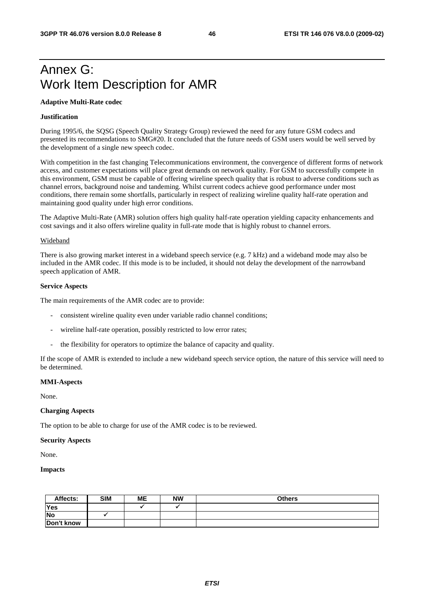## Annex G: Work Item Description for AMR

#### **Adaptive Multi-Rate codec**

#### **Justification**

During 1995/6, the SQSG (Speech Quality Strategy Group) reviewed the need for any future GSM codecs and presented its recommendations to SMG#20. It concluded that the future needs of GSM users would be well served by the development of a single new speech codec.

With competition in the fast changing Telecommunications environment, the convergence of different forms of network access, and customer expectations will place great demands on network quality. For GSM to successfully compete in this environment, GSM must be capable of offering wireline speech quality that is robust to adverse conditions such as channel errors, background noise and tandeming. Whilst current codecs achieve good performance under most conditions, there remain some shortfalls, particularly in respect of realizing wireline quality half-rate operation and maintaining good quality under high error conditions.

The Adaptive Multi-Rate (AMR) solution offers high quality half-rate operation yielding capacity enhancements and cost savings and it also offers wireline quality in full-rate mode that is highly robust to channel errors.

#### Wideband

There is also growing market interest in a wideband speech service (e.g. 7 kHz) and a wideband mode may also be included in the AMR codec. If this mode is to be included, it should not delay the development of the narrowband speech application of AMR.

#### **Service Aspects**

The main requirements of the AMR codec are to provide:

- consistent wireline quality even under variable radio channel conditions;
- wireline half-rate operation, possibly restricted to low error rates;
- the flexibility for operators to optimize the balance of capacity and quality.

If the scope of AMR is extended to include a new wideband speech service option, the nature of this service will need to be determined.

#### **MMI-Aspects**

None.

#### **Charging Aspects**

The option to be able to charge for use of the AMR codec is to be reviewed.

#### **Security Aspects**

None.

#### **Impacts**

| Affects:   | <b>SIM</b> | MЕ | <b>NW</b> | <b>Others</b> |
|------------|------------|----|-----------|---------------|
| Yes        |            |    |           |               |
| <b>No</b>  |            |    |           |               |
| Don't know |            |    |           |               |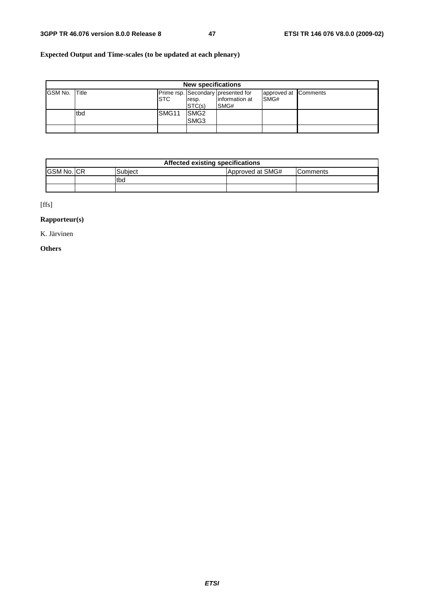### **Expected Output and Time-scales (to be updated at each plenary)**

|                | <b>New specifications</b> |                   |                                      |                                                               |                              |  |  |
|----------------|---------------------------|-------------------|--------------------------------------|---------------------------------------------------------------|------------------------------|--|--|
| <b>GSM No.</b> | Title                     | <b>ISTC</b>       | resp.<br>STC(s)                      | Prime rsp. Secondary presented for<br>linformation at<br>SMG# | approved at Comments<br>SMG# |  |  |
|                | tbd                       | SMG <sub>11</sub> | SMG <sub>2</sub><br>SMG <sub>3</sub> |                                                               |                              |  |  |
|                |                           |                   |                                      |                                                               |                              |  |  |

|                    | Affected existing specifications |             |                  |                  |  |  |  |  |
|--------------------|----------------------------------|-------------|------------------|------------------|--|--|--|--|
| <b>GSM No. ICR</b> |                                  | Subiect     | Approved at SMG# | <b>IComments</b> |  |  |  |  |
|                    |                                  | <b>Itbd</b> |                  |                  |  |  |  |  |
|                    |                                  |             |                  |                  |  |  |  |  |

[ffs]

### **Rapporteur(s)**

K. Järvinen

### **Others**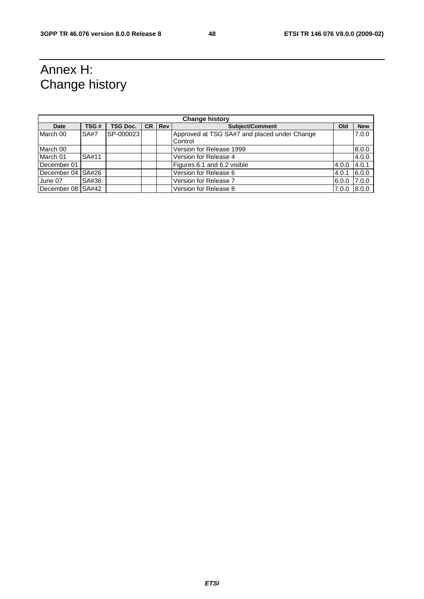## Annex H: Change history

| <b>Change history</b> |             |                 |           |            |                                                         |       |            |
|-----------------------|-------------|-----------------|-----------|------------|---------------------------------------------------------|-------|------------|
| <b>Date</b>           | TSG#        | <b>TSG Doc.</b> | <b>CR</b> | <b>Rev</b> | Subject/Comment                                         | Old   | <b>New</b> |
| March 00              | <b>SA#7</b> | SP-000023       |           |            | Approved at TSG SA#7 and placed under Change<br>Control |       | 7.0.0      |
| March 00              |             |                 |           |            | Version for Release 1999                                |       | 8.0.0      |
| March 01              | SA#11       |                 |           |            | Version for Release 4                                   |       | 4.0.0      |
| December 01           |             |                 |           |            | Figures 6.1 and 6.2 visible                             | 4.0.0 | 4.0.1      |
| December 04 SA#26     |             |                 |           |            | Version for Release 6                                   | 4.0.1 | 6.0.0      |
| June 07               | SA#36       |                 |           |            | Version for Release 7                                   | 6.0.0 | 7.0.0      |
| December 08 SA#42     |             |                 |           |            | Version for Release 8                                   | 7.0.0 | 8.0.0      |